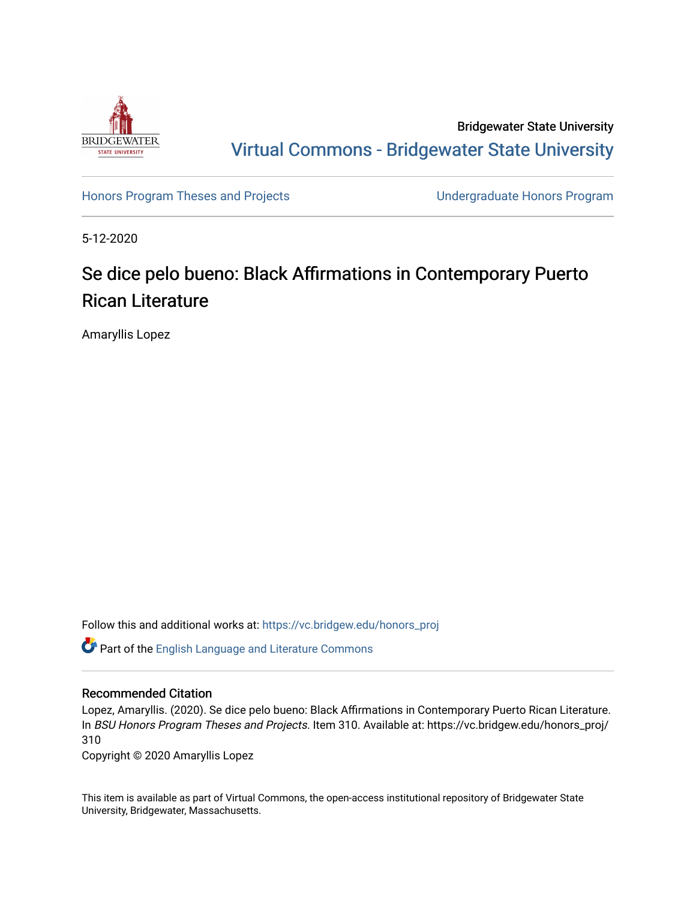

Bridgewater State University [Virtual Commons - Bridgewater State University](https://vc.bridgew.edu/) 

[Honors Program Theses and Projects](https://vc.bridgew.edu/honors_proj) [Undergraduate Honors Program](https://vc.bridgew.edu/honors) 

5-12-2020

# Se dice pelo bueno: Black Affirmations in Contemporary Puerto Rican Literature

Amaryllis Lopez

Follow this and additional works at: [https://vc.bridgew.edu/honors\\_proj](https://vc.bridgew.edu/honors_proj?utm_source=vc.bridgew.edu%2Fhonors_proj%2F310&utm_medium=PDF&utm_campaign=PDFCoverPages)

Part of the [English Language and Literature Commons](http://network.bepress.com/hgg/discipline/455?utm_source=vc.bridgew.edu%2Fhonors_proj%2F310&utm_medium=PDF&utm_campaign=PDFCoverPages)

### Recommended Citation

Lopez, Amaryllis. (2020). Se dice pelo bueno: Black Affirmations in Contemporary Puerto Rican Literature. In BSU Honors Program Theses and Projects. Item 310. Available at: https://vc.bridgew.edu/honors\_proj/ 310

Copyright © 2020 Amaryllis Lopez

This item is available as part of Virtual Commons, the open-access institutional repository of Bridgewater State University, Bridgewater, Massachusetts.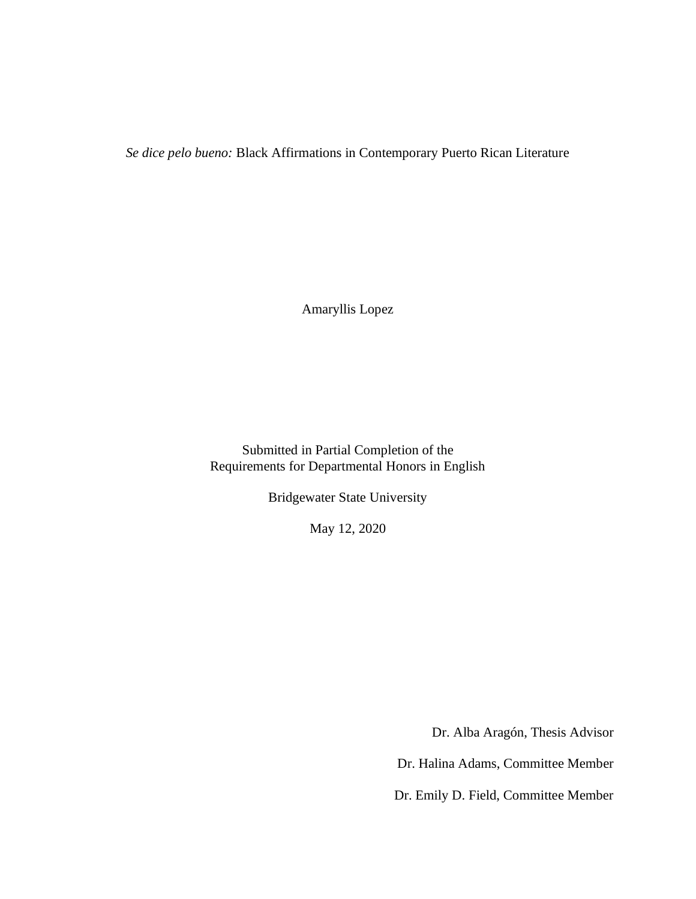*Se dice pelo bueno:* Black Affirmations in Contemporary Puerto Rican Literature

Amaryllis Lopez

Submitted in Partial Completion of the Requirements for Departmental Honors in English

Bridgewater State University

May 12, 2020

Dr. Alba Aragón, Thesis Advisor

Dr. Halina Adams, Committee Member

Dr. Emily D. Field, Committee Member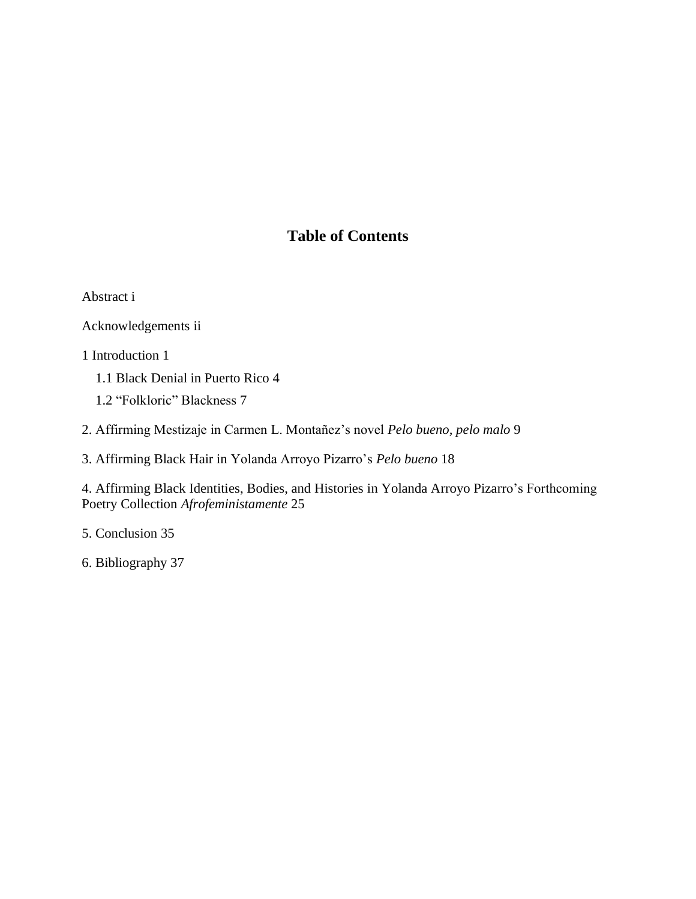# **Table of Contents**

[Abstract](#page-2-0) i

[Acknowledgements](#page-4-0) ii

1 [Introduction](#page-5-0) 1

1.1 [Black Denial in Puerto Rico](#page-9-0) 4

1.2 ["Folkloric" Blackness](#page-12-0) 7

2. [Affirming Mestizaje in Carmen L. Montañez's novel](#page-14-0) *Pelo bueno, pelo malo* 9

3. Affirming Black Hair in [Yolanda Arroyo Pizarro's](#page-23-0) *Pelo bueno* 18

4. [Affirming Black Identities, Bodies, and Histories in Yolanda Arroyo Pizarro's Forthcoming](#page-29-0)  Poetry Collection *[Afrofeministamente](#page-29-0)* 25

5. [Conclusion](#page-39-0) 35

<span id="page-2-0"></span>6. [Bibliography](#page-42-0) 37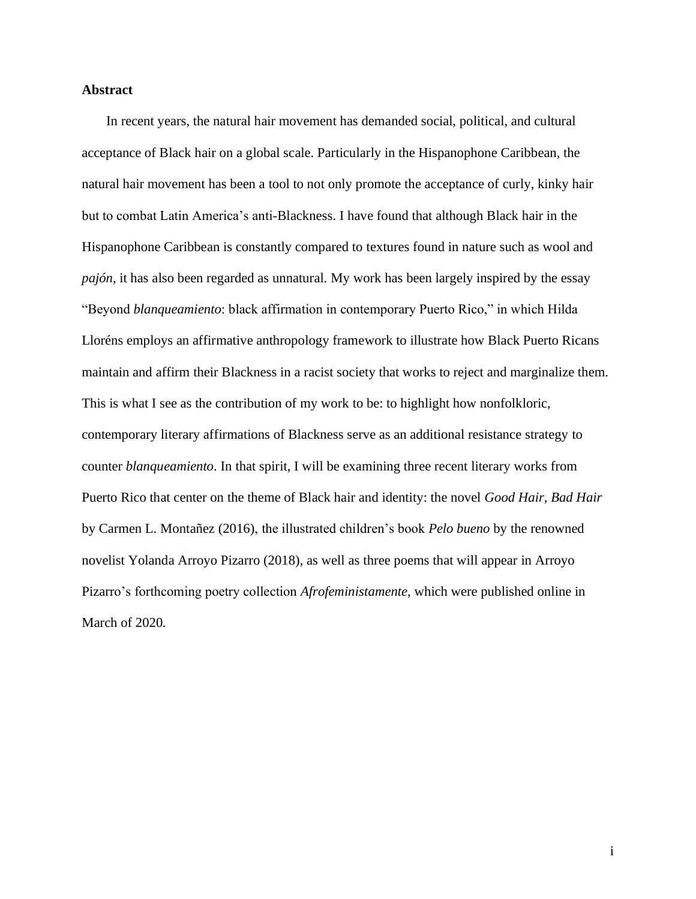### **Abstract**

In recent years, the natural hair movement has demanded social, political, and cultural acceptance of Black hair on a global scale. Particularly in the Hispanophone Caribbean, the natural hair movement has been a tool to not only promote the acceptance of curly, kinky hair but to combat Latin America's anti-Blackness. I have found that although Black hair in the Hispanophone Caribbean is constantly compared to textures found in nature such as wool and *pajón*, it has also been regarded as unnatural. My work has been largely inspired by the essay "Beyond *blanqueamiento*: black affirmation in contemporary Puerto Rico," in which Hilda Lloréns employs an affirmative anthropology framework to illustrate how Black Puerto Ricans maintain and affirm their Blackness in a racist society that works to reject and marginalize them. This is what I see as the contribution of my work to be: to highlight how nonfolkloric, contemporary literary affirmations of Blackness serve as an additional resistance strategy to counter *blanqueamiento*. In that spirit, I will be examining three recent literary works from Puerto Rico that center on the theme of Black hair and identity: the novel *Good Hair, Bad Hair*  by Carmen L. Montañez (2016), the illustrated children's book *Pelo bueno* by the renowned novelist Yolanda Arroyo Pizarro (2018), as well as three poems that will appear in Arroyo Pizarro's forthcoming poetry collection *Afrofeministamente,* which were published online in March of 2020*.*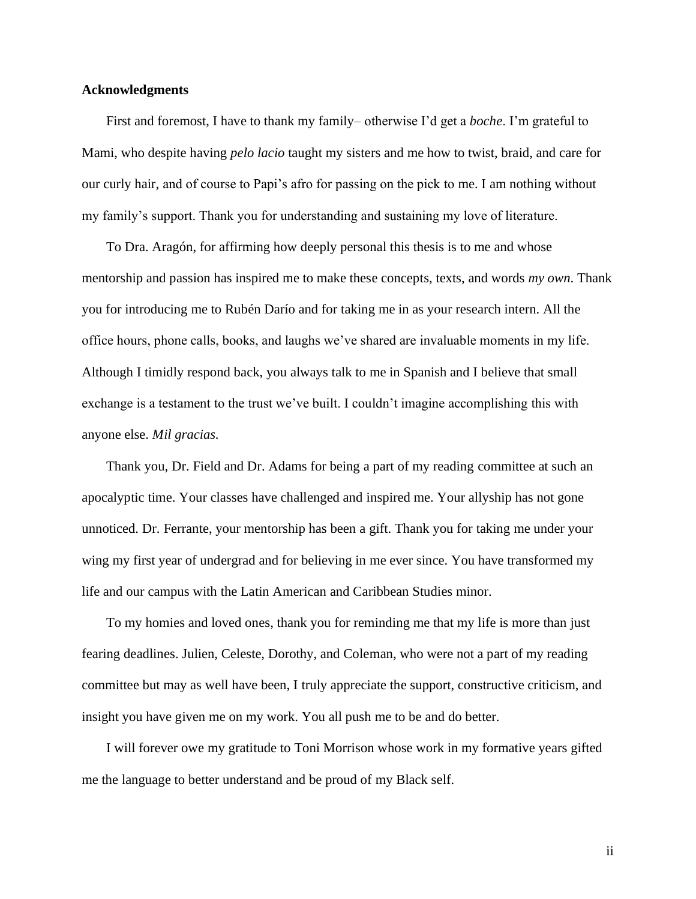#### <span id="page-4-0"></span>**Acknowledgments**

First and foremost, I have to thank my family– otherwise I'd get a *boche*. I'm grateful to Mami, who despite having *pelo lacio* taught my sisters and me how to twist, braid, and care for our curly hair, and of course to Papi's afro for passing on the pick to me. I am nothing without my family's support. Thank you for understanding and sustaining my love of literature.

To Dra. Aragón, for affirming how deeply personal this thesis is to me and whose mentorship and passion has inspired me to make these concepts, texts, and words *my own*. Thank you for introducing me to Rubén Darío and for taking me in as your research intern. All the office hours, phone calls, books, and laughs we've shared are invaluable moments in my life. Although I timidly respond back, you always talk to me in Spanish and I believe that small exchange is a testament to the trust we've built. I couldn't imagine accomplishing this with anyone else. *Mil gracias.*

Thank you, Dr. Field and Dr. Adams for being a part of my reading committee at such an apocalyptic time. Your classes have challenged and inspired me. Your allyship has not gone unnoticed. Dr. Ferrante, your mentorship has been a gift. Thank you for taking me under your wing my first year of undergrad and for believing in me ever since. You have transformed my life and our campus with the Latin American and Caribbean Studies minor.

To my homies and loved ones, thank you for reminding me that my life is more than just fearing deadlines. Julien, Celeste, Dorothy, and Coleman, who were not a part of my reading committee but may as well have been, I truly appreciate the support, constructive criticism, and insight you have given me on my work. You all push me to be and do better.

I will forever owe my gratitude to Toni Morrison whose work in my formative years gifted me the language to better understand and be proud of my Black self.

ii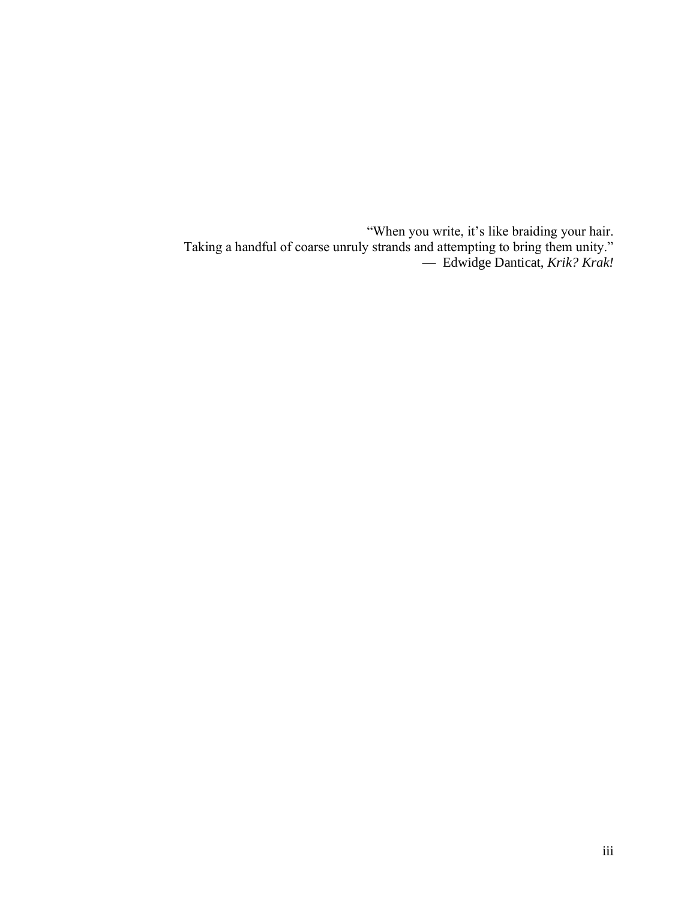<span id="page-5-0"></span>"When you write, it's like braiding your hair. Taking a handful of coarse unruly strands and attempting to bring them unity." — Edwidge Danticat, *Krik? Krak!*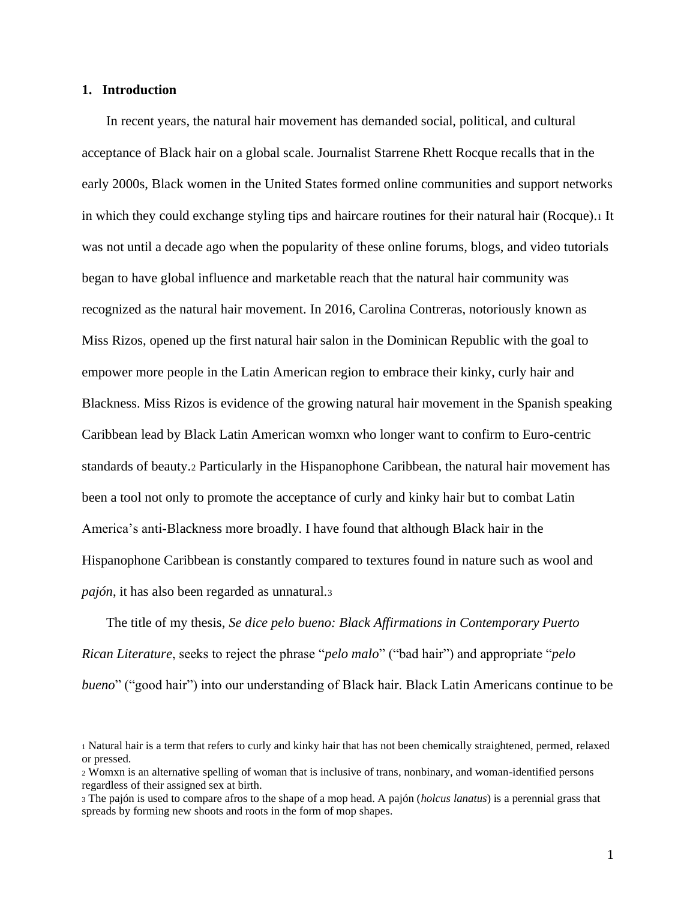#### **1. Introduction**

In recent years, the natural hair movement has demanded social, political, and cultural acceptance of Black hair on a global scale. Journalist Starrene Rhett Rocque recalls that in the early 2000s, Black women in the United States formed online communities and support networks in which they could exchange styling tips and haircare routines for their natural hair (Rocque).<sup>1</sup> It was not until a decade ago when the popularity of these online forums, blogs, and video tutorials began to have global influence and marketable reach that the natural hair community was recognized as the natural hair movement. In 2016, Carolina Contreras, notoriously known as Miss Rizos, opened up the first natural hair salon in the Dominican Republic with the goal to empower more people in the Latin American region to embrace their kinky, curly hair and Blackness. Miss Rizos is evidence of the growing natural hair movement in the Spanish speaking Caribbean lead by Black Latin American womxn who longer want to confirm to Euro-centric standards of beauty.<sup>2</sup> Particularly in the Hispanophone Caribbean, the natural hair movement has been a tool not only to promote the acceptance of curly and kinky hair but to combat Latin America's anti-Blackness more broadly. I have found that although Black hair in the Hispanophone Caribbean is constantly compared to textures found in nature such as wool and *pajón*, it has also been regarded as unnatural.<sup>3</sup>

The title of my thesis, *Se dice pelo bueno: Black Affirmations in Contemporary Puerto Rican Literature*, seeks to reject the phrase "*pelo malo*" ("bad hair") and appropriate "*pelo bueno*" ("good hair") into our understanding of Black hair. Black Latin Americans continue to be

<sup>1</sup> Natural hair is a term that refers to curly and kinky hair that has not been chemically straightened, permed, relaxed or pressed.

<sup>2</sup> Womxn is an alternative spelling of woman that is inclusive of trans, nonbinary, and woman-identified persons regardless of their assigned sex at birth.

<sup>3</sup> The pajón is used to compare afros to the shape of a mop head. A pajón (*holcus lanatus*) is a perennial grass that spreads by forming new shoots and roots in the form of mop shapes.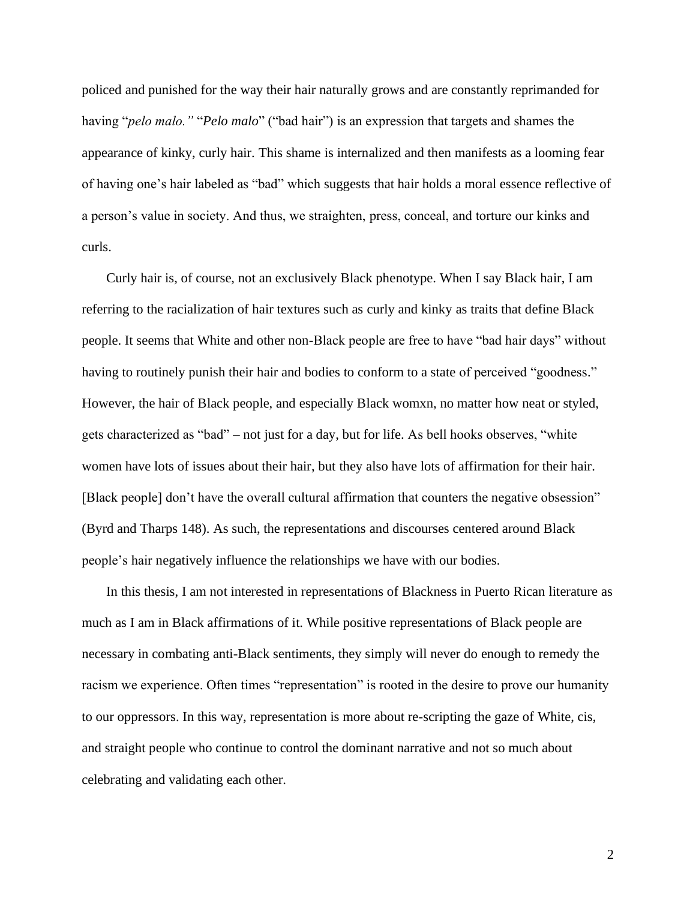policed and punished for the way their hair naturally grows and are constantly reprimanded for having "*pelo malo."* "*Pelo malo*" ("bad hair") is an expression that targets and shames the appearance of kinky, curly hair. This shame is internalized and then manifests as a looming fear of having one's hair labeled as "bad" which suggests that hair holds a moral essence reflective of a person's value in society. And thus, we straighten, press, conceal, and torture our kinks and curls.

Curly hair is, of course, not an exclusively Black phenotype. When I say Black hair, I am referring to the racialization of hair textures such as curly and kinky as traits that define Black people. It seems that White and other non-Black people are free to have "bad hair days" without having to routinely punish their hair and bodies to conform to a state of perceived "goodness." However, the hair of Black people, and especially Black womxn, no matter how neat or styled, gets characterized as "bad" – not just for a day, but for life. As bell hooks observes, "white women have lots of issues about their hair, but they also have lots of affirmation for their hair. [Black people] don't have the overall cultural affirmation that counters the negative obsession" (Byrd and Tharps 148). As such, the representations and discourses centered around Black people's hair negatively influence the relationships we have with our bodies.

In this thesis, I am not interested in representations of Blackness in Puerto Rican literature as much as I am in Black affirmations of it. While positive representations of Black people are necessary in combating anti-Black sentiments, they simply will never do enough to remedy the racism we experience. Often times "representation" is rooted in the desire to prove our humanity to our oppressors. In this way, representation is more about re-scripting the gaze of White, cis, and straight people who continue to control the dominant narrative and not so much about celebrating and validating each other.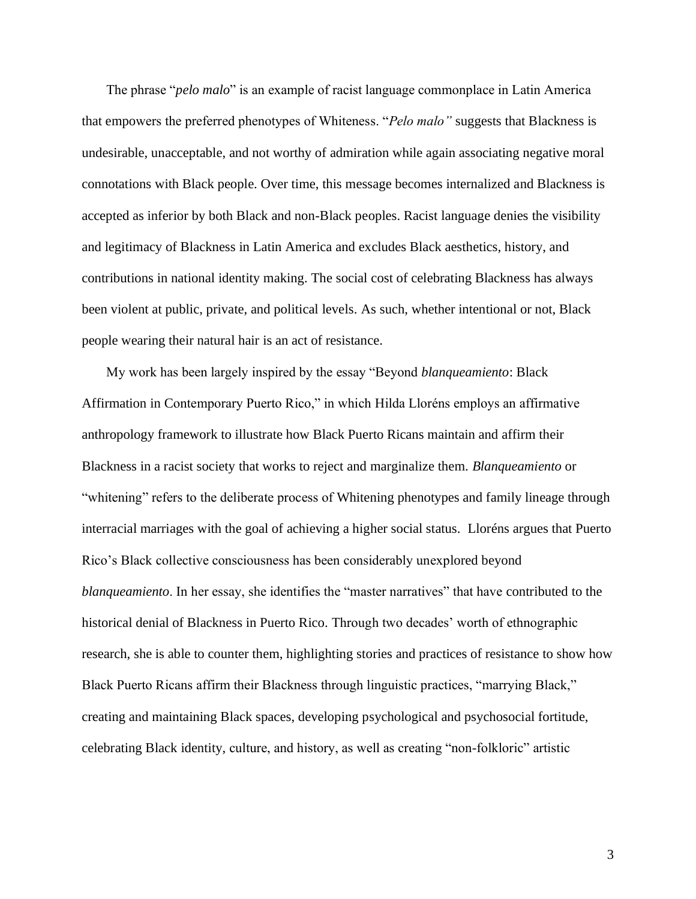The phrase "*pelo malo*" is an example of racist language commonplace in Latin America that empowers the preferred phenotypes of Whiteness. "*Pelo malo"* suggests that Blackness is undesirable, unacceptable, and not worthy of admiration while again associating negative moral connotations with Black people. Over time, this message becomes internalized and Blackness is accepted as inferior by both Black and non-Black peoples. Racist language denies the visibility and legitimacy of Blackness in Latin America and excludes Black aesthetics, history, and contributions in national identity making. The social cost of celebrating Blackness has always been violent at public, private, and political levels. As such, whether intentional or not, Black people wearing their natural hair is an act of resistance.

My work has been largely inspired by the essay "Beyond *blanqueamiento*: Black Affirmation in Contemporary Puerto Rico," in which Hilda Lloréns employs an affirmative anthropology framework to illustrate how Black Puerto Ricans maintain and affirm their Blackness in a racist society that works to reject and marginalize them. *Blanqueamiento* or "whitening" refers to the deliberate process of Whitening phenotypes and family lineage through interracial marriages with the goal of achieving a higher social status. Lloréns argues that Puerto Rico's Black collective consciousness has been considerably unexplored beyond *blanqueamiento*. In her essay, she identifies the "master narratives" that have contributed to the historical denial of Blackness in Puerto Rico. Through two decades' worth of ethnographic research, she is able to counter them, highlighting stories and practices of resistance to show how Black Puerto Ricans affirm their Blackness through linguistic practices, "marrying Black," creating and maintaining Black spaces, developing psychological and psychosocial fortitude, celebrating Black identity, culture, and history, as well as creating "non-folkloric" artistic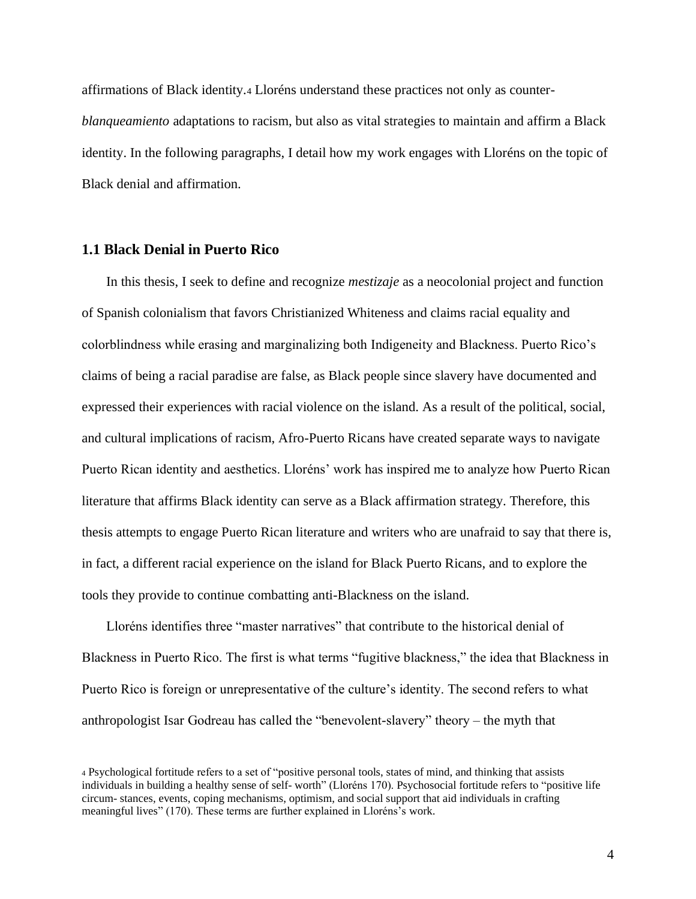affirmations of Black identity.<sup>4</sup> Lloréns understand these practices not only as counter*blanqueamiento* adaptations to racism, but also as vital strategies to maintain and affirm a Black identity. In the following paragraphs, I detail how my work engages with Lloréns on the topic of Black denial and affirmation.

# <span id="page-9-0"></span>**1.1 Black Denial in Puerto Rico**

In this thesis, I seek to define and recognize *mestizaje* as a neocolonial project and function of Spanish colonialism that favors Christianized Whiteness and claims racial equality and colorblindness while erasing and marginalizing both Indigeneity and Blackness. Puerto Rico's claims of being a racial paradise are false, as Black people since slavery have documented and expressed their experiences with racial violence on the island. As a result of the political, social, and cultural implications of racism, Afro-Puerto Ricans have created separate ways to navigate Puerto Rican identity and aesthetics. Lloréns' work has inspired me to analyze how Puerto Rican literature that affirms Black identity can serve as a Black affirmation strategy. Therefore, this thesis attempts to engage Puerto Rican literature and writers who are unafraid to say that there is, in fact, a different racial experience on the island for Black Puerto Ricans, and to explore the tools they provide to continue combatting anti-Blackness on the island.

Lloréns identifies three "master narratives" that contribute to the historical denial of Blackness in Puerto Rico. The first is what terms "fugitive blackness," the idea that Blackness in Puerto Rico is foreign or unrepresentative of the culture's identity. The second refers to what anthropologist Isar Godreau has called the "benevolent-slavery" theory – the myth that

<sup>4</sup> Psychological fortitude refers to a set of "positive personal tools, states of mind, and thinking that assists individuals in building a healthy sense of self- worth" (Lloréns 170). Psychosocial fortitude refers to "positive life circum- stances, events, coping mechanisms, optimism, and social support that aid individuals in crafting meaningful lives" (170). These terms are further explained in Lloréns's work.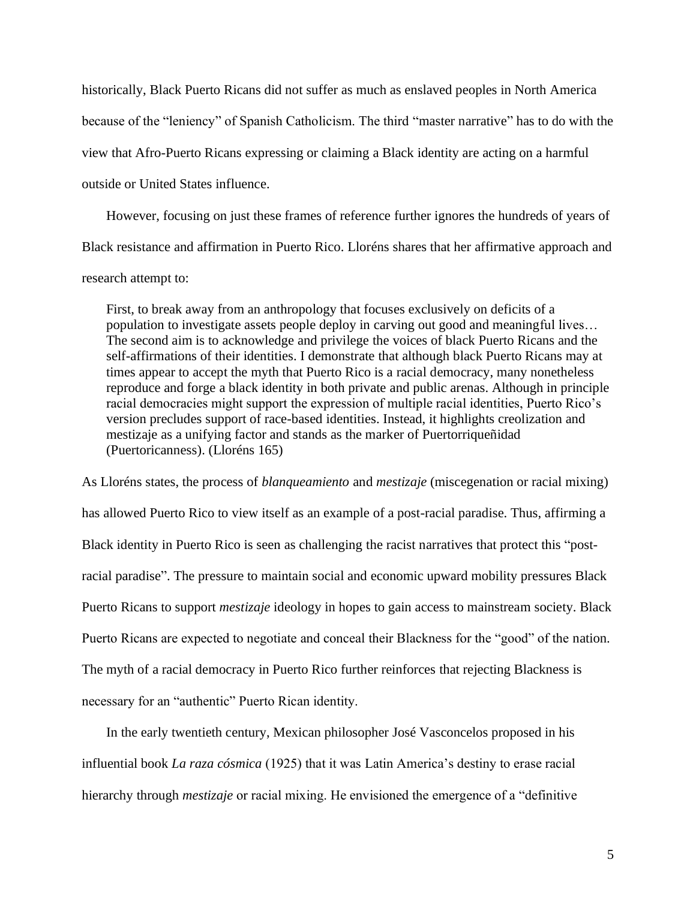historically, Black Puerto Ricans did not suffer as much as enslaved peoples in North America because of the "leniency" of Spanish Catholicism. The third "master narrative" has to do with the view that Afro-Puerto Ricans expressing or claiming a Black identity are acting on a harmful outside or United States influence.

However, focusing on just these frames of reference further ignores the hundreds of years of Black resistance and affirmation in Puerto Rico. Lloréns shares that her affirmative approach and

# research attempt to:

First, to break away from an anthropology that focuses exclusively on deficits of a population to investigate assets people deploy in carving out good and meaningful lives… The second aim is to acknowledge and privilege the voices of black Puerto Ricans and the self-affirmations of their identities. I demonstrate that although black Puerto Ricans may at times appear to accept the myth that Puerto Rico is a racial democracy, many nonetheless reproduce and forge a black identity in both private and public arenas. Although in principle racial democracies might support the expression of multiple racial identities, Puerto Rico's version precludes support of race-based identities. Instead, it highlights creolization and mestizaje as a unifying factor and stands as the marker of Puertorriqueñidad (Puertoricanness). (Lloréns 165)

As Lloréns states, the process of *blanqueamiento* and *mestizaje* (miscegenation or racial mixing) has allowed Puerto Rico to view itself as an example of a post-racial paradise. Thus, affirming a Black identity in Puerto Rico is seen as challenging the racist narratives that protect this "postracial paradise". The pressure to maintain social and economic upward mobility pressures Black Puerto Ricans to support *mestizaje* ideology in hopes to gain access to mainstream society. Black Puerto Ricans are expected to negotiate and conceal their Blackness for the "good" of the nation. The myth of a racial democracy in Puerto Rico further reinforces that rejecting Blackness is necessary for an "authentic" Puerto Rican identity.

In the early twentieth century, Mexican philosopher José Vasconcelos proposed in his influential book *La raza cósmica* (1925) that it was Latin America's destiny to erase racial hierarchy through *mestizaje* or racial mixing. He envisioned the emergence of a "definitive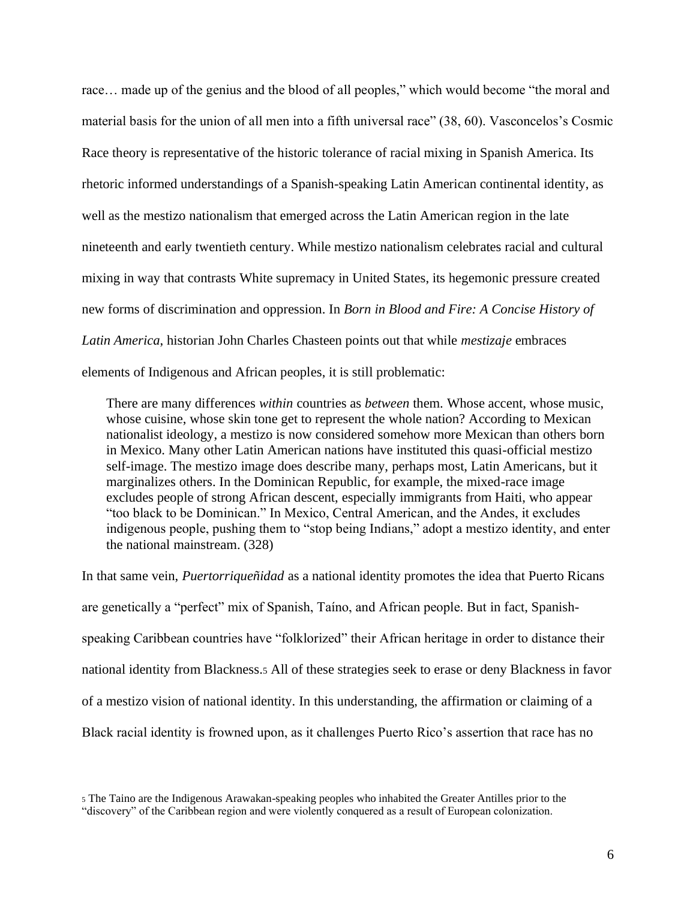race... made up of the genius and the blood of all peoples," which would become "the moral and material basis for the union of all men into a fifth universal race" (38, 60). Vasconcelos's Cosmic Race theory is representative of the historic tolerance of racial mixing in Spanish America. Its rhetoric informed understandings of a Spanish-speaking Latin American continental identity, as well as the mestizo nationalism that emerged across the Latin American region in the late nineteenth and early twentieth century. While mestizo nationalism celebrates racial and cultural mixing in way that contrasts White supremacy in United States, its hegemonic pressure created new forms of discrimination and oppression. In *Born in Blood and Fire: A Concise History of Latin America*, historian John Charles Chasteen points out that while *mestizaje* embraces elements of Indigenous and African peoples, it is still problematic:

There are many differences *within* countries as *between* them. Whose accent, whose music, whose cuisine, whose skin tone get to represent the whole nation? According to Mexican nationalist ideology, a mestizo is now considered somehow more Mexican than others born in Mexico. Many other Latin American nations have instituted this quasi-official mestizo self-image. The mestizo image does describe many, perhaps most, Latin Americans, but it marginalizes others. In the Dominican Republic, for example, the mixed-race image excludes people of strong African descent, especially immigrants from Haiti, who appear "too black to be Dominican." In Mexico, Central American, and the Andes, it excludes indigenous people, pushing them to "stop being Indians," adopt a mestizo identity, and enter the national mainstream. (328)

In that same vein, *Puertorriqueñidad* as a national identity promotes the idea that Puerto Ricans are genetically a "perfect" mix of Spanish, Taíno, and African people. But in fact, Spanishspeaking Caribbean countries have "folklorized" their African heritage in order to distance their national identity from Blackness.<sup>5</sup> All of these strategies seek to erase or deny Blackness in favor of a mestizo vision of national identity. In this understanding, the affirmation or claiming of a Black racial identity is frowned upon, as it challenges Puerto Rico's assertion that race has no

<sup>5</sup> The Taino are the Indigenous Arawakan-speaking peoples who inhabited the Greater Antilles prior to the "discovery" of the Caribbean region and were violently conquered as a result of European colonization.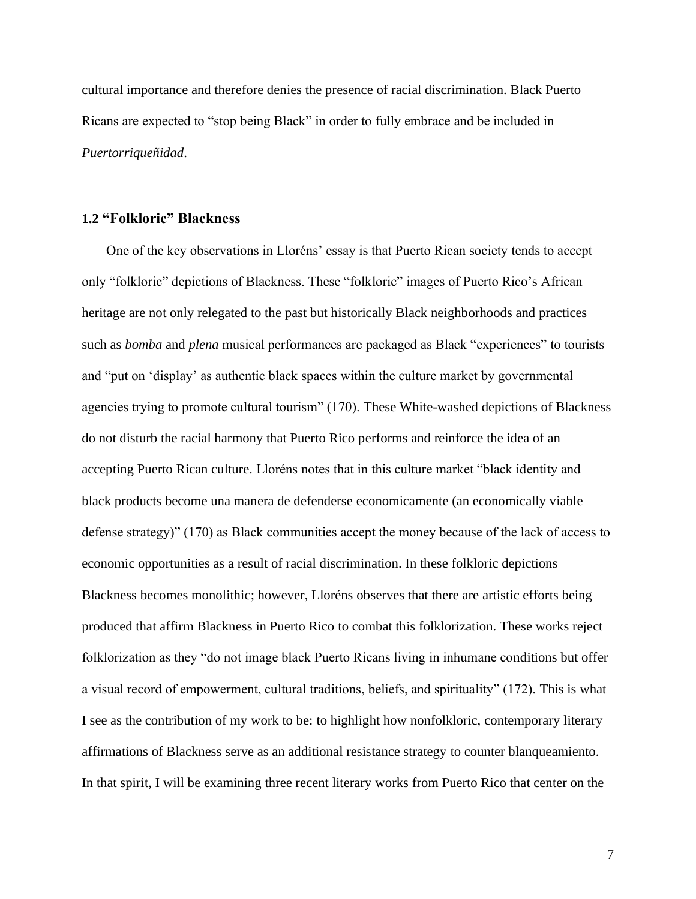cultural importance and therefore denies the presence of racial discrimination. Black Puerto Ricans are expected to "stop being Black" in order to fully embrace and be included in *Puertorriqueñidad*.

# <span id="page-12-0"></span>**1.2 "Folkloric" Blackness**

One of the key observations in Lloréns' essay is that Puerto Rican society tends to accept only "folkloric" depictions of Blackness. These "folkloric" images of Puerto Rico's African heritage are not only relegated to the past but historically Black neighborhoods and practices such as *bomba* and *plena* musical performances are packaged as Black "experiences" to tourists and "put on 'display' as authentic black spaces within the culture market by governmental agencies trying to promote cultural tourism" (170). These White-washed depictions of Blackness do not disturb the racial harmony that Puerto Rico performs and reinforce the idea of an accepting Puerto Rican culture. Lloréns notes that in this culture market "black identity and black products become una manera de defenderse economicamente (an economically viable defense strategy)" (170) as Black communities accept the money because of the lack of access to economic opportunities as a result of racial discrimination. In these folkloric depictions Blackness becomes monolithic; however, Lloréns observes that there are artistic efforts being produced that affirm Blackness in Puerto Rico to combat this folklorization. These works reject folklorization as they "do not image black Puerto Ricans living in inhumane conditions but offer a visual record of empowerment, cultural traditions, beliefs, and spirituality" (172). This is what I see as the contribution of my work to be: to highlight how nonfolkloric, contemporary literary affirmations of Blackness serve as an additional resistance strategy to counter blanqueamiento. In that spirit, I will be examining three recent literary works from Puerto Rico that center on the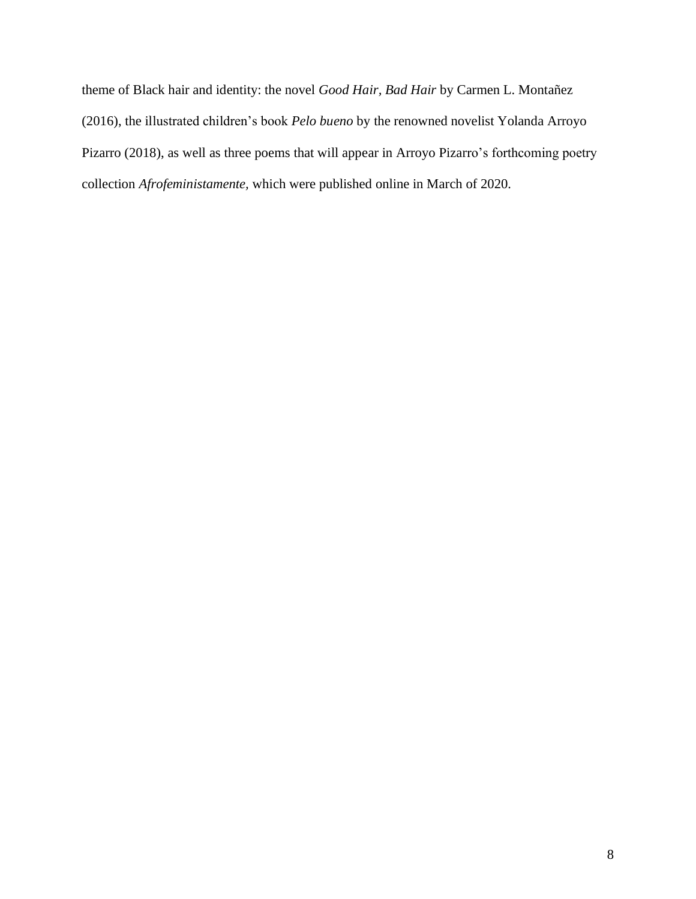theme of Black hair and identity: the novel *Good Hair, Bad Hair* by Carmen L. Montañez (2016), the illustrated children's book *Pelo bueno* by the renowned novelist Yolanda Arroyo Pizarro (2018), as well as three poems that will appear in Arroyo Pizarro's forthcoming poetry collection *Afrofeministamente,* which were published online in March of 2020*.*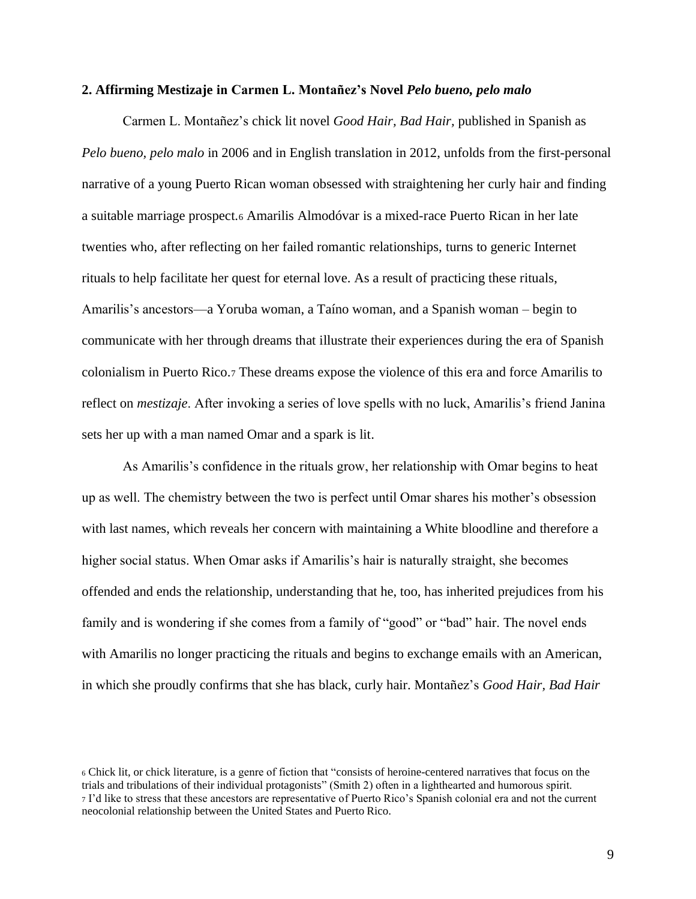#### <span id="page-14-0"></span>**2. Affirming Mestizaje in Carmen L. Montañez's Novel** *Pelo bueno, pelo malo*

Carmen L. Montañez's chick lit novel *Good Hair, Bad Hair,* published in Spanish as *Pelo bueno, pelo malo* in 2006 and in English translation in 2012, unfolds from the first-personal narrative of a young Puerto Rican woman obsessed with straightening her curly hair and finding a suitable marriage prospect.<sup>6</sup> Amarilis Almodóvar is a mixed-race Puerto Rican in her late twenties who, after reflecting on her failed romantic relationships, turns to generic Internet rituals to help facilitate her quest for eternal love. As a result of practicing these rituals, Amarilis's ancestors—a Yoruba woman, a Taíno woman, and a Spanish woman – begin to communicate with her through dreams that illustrate their experiences during the era of Spanish colonialism in Puerto Rico.<sup>7</sup> These dreams expose the violence of this era and force Amarilis to reflect on *mestizaje*. After invoking a series of love spells with no luck, Amarilis's friend Janina sets her up with a man named Omar and a spark is lit.

As Amarilis's confidence in the rituals grow, her relationship with Omar begins to heat up as well. The chemistry between the two is perfect until Omar shares his mother's obsession with last names, which reveals her concern with maintaining a White bloodline and therefore a higher social status. When Omar asks if Amarilis's hair is naturally straight, she becomes offended and ends the relationship, understanding that he, too, has inherited prejudices from his family and is wondering if she comes from a family of "good" or "bad" hair. The novel ends with Amarilis no longer practicing the rituals and begins to exchange emails with an American, in which she proudly confirms that she has black, curly hair. Montañez's *Good Hair, Bad Hair* 

<sup>6</sup> Chick lit, or chick literature, is a genre of fiction that "consists of heroine-centered narratives that focus on the trials and tribulations of their individual protagonists" (Smith 2) often in a lighthearted and humorous spirit. <sup>7</sup> I'd like to stress that these ancestors are representative of Puerto Rico's Spanish colonial era and not the current neocolonial relationship between the United States and Puerto Rico.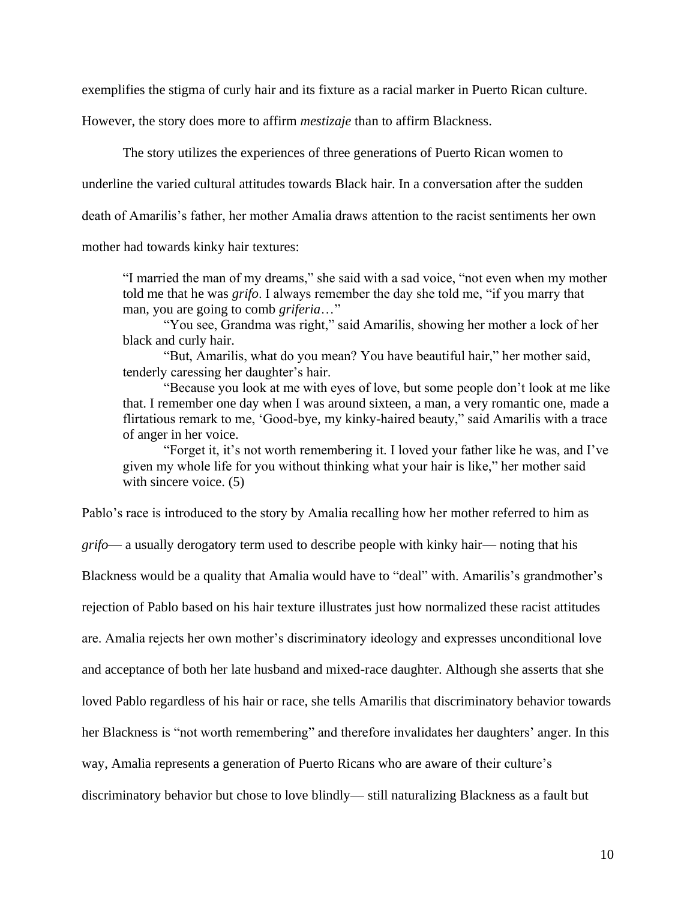exemplifies the stigma of curly hair and its fixture as a racial marker in Puerto Rican culture.

However, the story does more to affirm *mestizaje* than to affirm Blackness.

The story utilizes the experiences of three generations of Puerto Rican women to

underline the varied cultural attitudes towards Black hair. In a conversation after the sudden

death of Amarilis's father, her mother Amalia draws attention to the racist sentiments her own

mother had towards kinky hair textures:

"I married the man of my dreams," she said with a sad voice, "not even when my mother told me that he was *grifo*. I always remember the day she told me, "if you marry that man, you are going to comb *griferia*…"

"You see, Grandma was right," said Amarilis, showing her mother a lock of her black and curly hair.

"But, Amarilis, what do you mean? You have beautiful hair," her mother said, tenderly caressing her daughter's hair.

"Because you look at me with eyes of love, but some people don't look at me like that. I remember one day when I was around sixteen, a man, a very romantic one, made a flirtatious remark to me, 'Good-bye, my kinky-haired beauty," said Amarilis with a trace of anger in her voice.

"Forget it, it's not worth remembering it. I loved your father like he was, and I've given my whole life for you without thinking what your hair is like," her mother said with sincere voice. (5)

Pablo's race is introduced to the story by Amalia recalling how her mother referred to him as *grifo*— a usually derogatory term used to describe people with kinky hair— noting that his

Blackness would be a quality that Amalia would have to "deal" with. Amarilis's grandmother's

rejection of Pablo based on his hair texture illustrates just how normalized these racist attitudes

are. Amalia rejects her own mother's discriminatory ideology and expresses unconditional love

and acceptance of both her late husband and mixed-race daughter. Although she asserts that she

loved Pablo regardless of his hair or race, she tells Amarilis that discriminatory behavior towards

her Blackness is "not worth remembering" and therefore invalidates her daughters' anger. In this

way, Amalia represents a generation of Puerto Ricans who are aware of their culture's

discriminatory behavior but chose to love blindly— still naturalizing Blackness as a fault but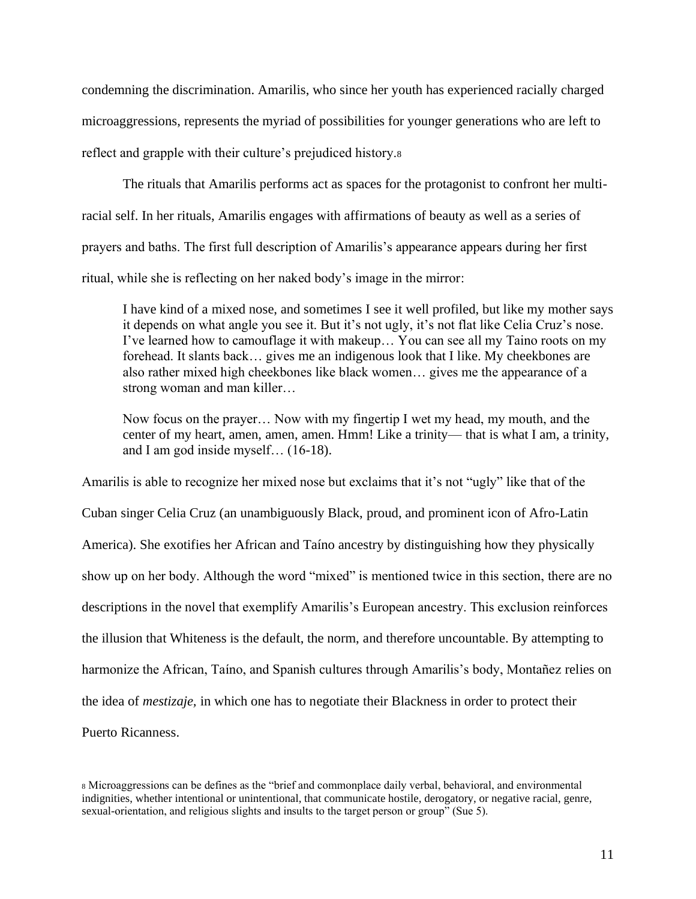condemning the discrimination. Amarilis, who since her youth has experienced racially charged microaggressions, represents the myriad of possibilities for younger generations who are left to reflect and grapple with their culture's prejudiced history.<sup>8</sup>

The rituals that Amarilis performs act as spaces for the protagonist to confront her multiracial self. In her rituals, Amarilis engages with affirmations of beauty as well as a series of prayers and baths. The first full description of Amarilis's appearance appears during her first ritual, while she is reflecting on her naked body's image in the mirror:

I have kind of a mixed nose, and sometimes I see it well profiled, but like my mother says it depends on what angle you see it. But it's not ugly, it's not flat like Celia Cruz's nose. I've learned how to camouflage it with makeup… You can see all my Taino roots on my forehead. It slants back… gives me an indigenous look that I like. My cheekbones are also rather mixed high cheekbones like black women… gives me the appearance of a strong woman and man killer…

Now focus on the prayer… Now with my fingertip I wet my head, my mouth, and the center of my heart, amen, amen, amen. Hmm! Like a trinity— that is what I am, a trinity, and I am god inside myself… (16-18).

Amarilis is able to recognize her mixed nose but exclaims that it's not "ugly" like that of the Cuban singer Celia Cruz (an unambiguously Black, proud, and prominent icon of Afro-Latin America). She exotifies her African and Taíno ancestry by distinguishing how they physically show up on her body. Although the word "mixed" is mentioned twice in this section, there are no descriptions in the novel that exemplify Amarilis's European ancestry. This exclusion reinforces the illusion that Whiteness is the default, the norm, and therefore uncountable. By attempting to harmonize the African, Taíno, and Spanish cultures through Amarilis's body, Montañez relies on the idea of *mestizaje,* in which one has to negotiate their Blackness in order to protect their Puerto Ricanness.

<sup>8</sup> Microaggressions can be defines as the "brief and commonplace daily verbal, behavioral, and environmental indignities, whether intentional or unintentional, that communicate hostile, derogatory, or negative racial, genre, sexual-orientation, and religious slights and insults to the target person or group" (Sue 5).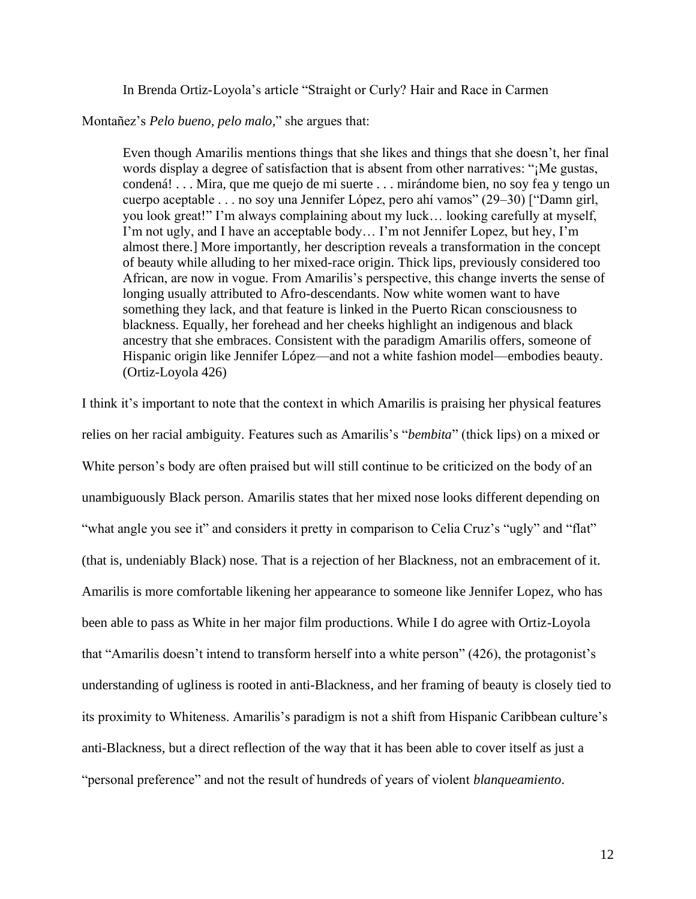In Brenda Ortiz-Loyola's article "Straight or Curly? Hair and Race in Carmen

Montañez's *Pelo bueno, pelo malo,*" she argues that:

Even though Amarilis mentions things that she likes and things that she doesn't, her final words display a degree of satisfaction that is absent from other narratives: "¡Me gustas, condená! . . . Mira, que me quejo de mi suerte . . . mirándome bien, no soy fea y tengo un cuerpo aceptable . . . no soy una Jennifer López, pero ahí vamos" (29–30) ["Damn girl, you look great!" I'm always complaining about my luck… looking carefully at myself, I'm not ugly, and I have an acceptable body… I'm not Jennifer Lopez, but hey, I'm almost there.] More importantly, her description reveals a transformation in the concept of beauty while alluding to her mixed-race origin. Thick lips, previously considered too African, are now in vogue. From Amarilis's perspective, this change inverts the sense of longing usually attributed to Afro-descendants. Now white women want to have something they lack, and that feature is linked in the Puerto Rican consciousness to blackness. Equally, her forehead and her cheeks highlight an indigenous and black ancestry that she embraces. Consistent with the paradigm Amarilis offers, someone of Hispanic origin like Jennifer López—and not a white fashion model—embodies beauty. (Ortiz-Loyola 426)

I think it's important to note that the context in which Amarilis is praising her physical features relies on her racial ambiguity. Features such as Amarilis's "*bembita*" (thick lips) on a mixed or White person's body are often praised but will still continue to be criticized on the body of an unambiguously Black person. Amarilis states that her mixed nose looks different depending on "what angle you see it" and considers it pretty in comparison to Celia Cruz's "ugly" and "flat" (that is, undeniably Black) nose. That is a rejection of her Blackness, not an embracement of it. Amarilis is more comfortable likening her appearance to someone like Jennifer Lopez, who has been able to pass as White in her major film productions. While I do agree with Ortiz-Loyola that "Amarilis doesn't intend to transform herself into a white person" (426), the protagonist's understanding of ugliness is rooted in anti-Blackness, and her framing of beauty is closely tied to its proximity to Whiteness. Amarilis's paradigm is not a shift from Hispanic Caribbean culture's anti-Blackness, but a direct reflection of the way that it has been able to cover itself as just a "personal preference" and not the result of hundreds of years of violent *blanqueamiento*.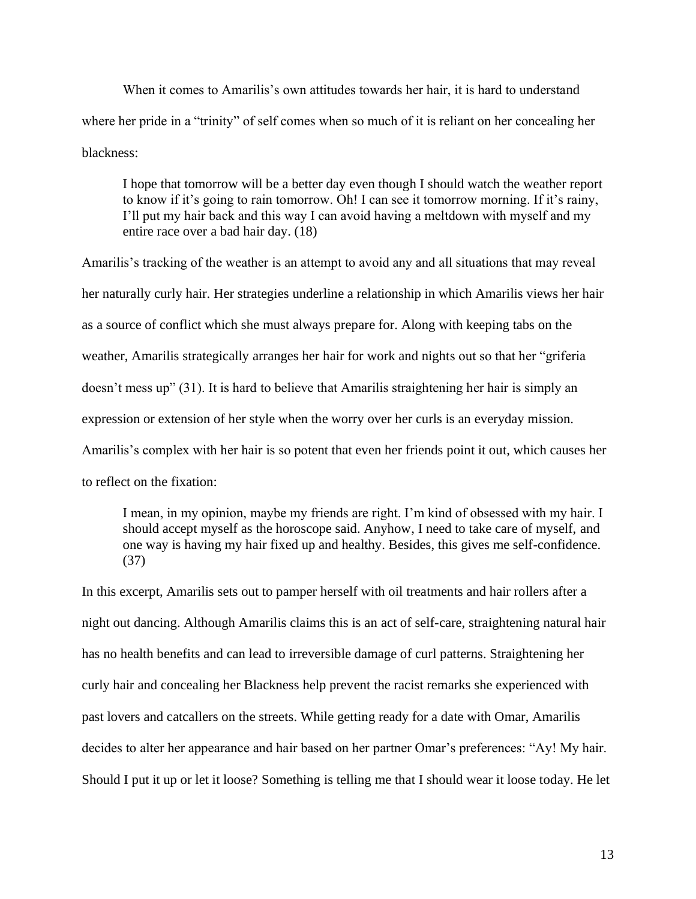When it comes to Amarilis's own attitudes towards her hair, it is hard to understand where her pride in a "trinity" of self comes when so much of it is reliant on her concealing her blackness:

I hope that tomorrow will be a better day even though I should watch the weather report to know if it's going to rain tomorrow. Oh! I can see it tomorrow morning. If it's rainy, I'll put my hair back and this way I can avoid having a meltdown with myself and my entire race over a bad hair day. (18)

Amarilis's tracking of the weather is an attempt to avoid any and all situations that may reveal her naturally curly hair. Her strategies underline a relationship in which Amarilis views her hair as a source of conflict which she must always prepare for. Along with keeping tabs on the weather, Amarilis strategically arranges her hair for work and nights out so that her "griferia doesn't mess up" (31). It is hard to believe that Amarilis straightening her hair is simply an expression or extension of her style when the worry over her curls is an everyday mission. Amarilis's complex with her hair is so potent that even her friends point it out, which causes her to reflect on the fixation:

I mean, in my opinion, maybe my friends are right. I'm kind of obsessed with my hair. I should accept myself as the horoscope said. Anyhow, I need to take care of myself, and one way is having my hair fixed up and healthy. Besides, this gives me self-confidence. (37)

In this excerpt, Amarilis sets out to pamper herself with oil treatments and hair rollers after a night out dancing. Although Amarilis claims this is an act of self-care, straightening natural hair has no health benefits and can lead to irreversible damage of curl patterns. Straightening her curly hair and concealing her Blackness help prevent the racist remarks she experienced with past lovers and catcallers on the streets. While getting ready for a date with Omar, Amarilis decides to alter her appearance and hair based on her partner Omar's preferences: "Ay! My hair. Should I put it up or let it loose? Something is telling me that I should wear it loose today. He let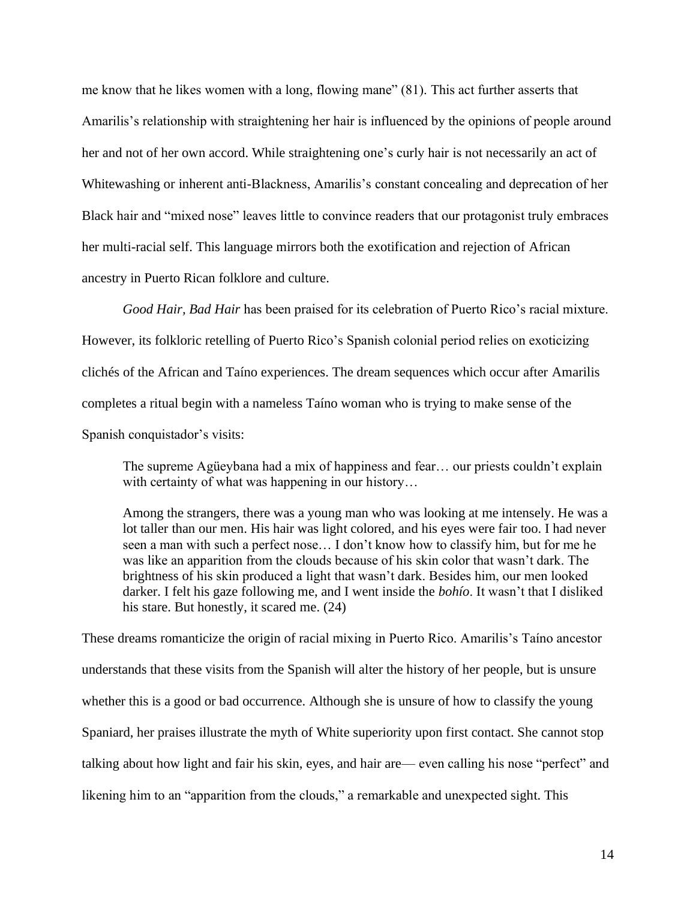me know that he likes women with a long, flowing mane" (81). This act further asserts that Amarilis's relationship with straightening her hair is influenced by the opinions of people around her and not of her own accord. While straightening one's curly hair is not necessarily an act of Whitewashing or inherent anti-Blackness, Amarilis's constant concealing and deprecation of her Black hair and "mixed nose" leaves little to convince readers that our protagonist truly embraces her multi-racial self. This language mirrors both the exotification and rejection of African ancestry in Puerto Rican folklore and culture.

*Good Hair, Bad Hair* has been praised for its celebration of Puerto Rico's racial mixture. However, its folkloric retelling of Puerto Rico's Spanish colonial period relies on exoticizing clichés of the African and Taíno experiences. The dream sequences which occur after Amarilis completes a ritual begin with a nameless Taíno woman who is trying to make sense of the Spanish conquistador's visits:

The supreme Agüeybana had a mix of happiness and fear… our priests couldn't explain with certainty of what was happening in our history...

Among the strangers, there was a young man who was looking at me intensely. He was a lot taller than our men. His hair was light colored, and his eyes were fair too. I had never seen a man with such a perfect nose… I don't know how to classify him, but for me he was like an apparition from the clouds because of his skin color that wasn't dark. The brightness of his skin produced a light that wasn't dark. Besides him, our men looked darker. I felt his gaze following me, and I went inside the *bohío*. It wasn't that I disliked his stare. But honestly, it scared me. (24)

These dreams romanticize the origin of racial mixing in Puerto Rico. Amarilis's Taíno ancestor understands that these visits from the Spanish will alter the history of her people, but is unsure whether this is a good or bad occurrence. Although she is unsure of how to classify the young Spaniard, her praises illustrate the myth of White superiority upon first contact. She cannot stop talking about how light and fair his skin, eyes, and hair are— even calling his nose "perfect" and likening him to an "apparition from the clouds," a remarkable and unexpected sight. This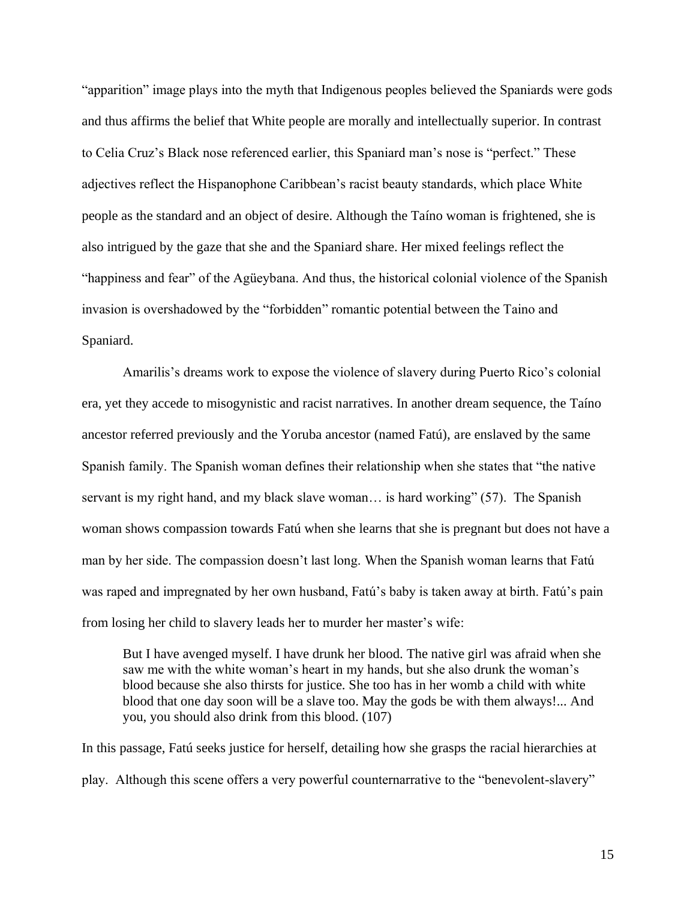"apparition" image plays into the myth that Indigenous peoples believed the Spaniards were gods and thus affirms the belief that White people are morally and intellectually superior. In contrast to Celia Cruz's Black nose referenced earlier, this Spaniard man's nose is "perfect." These adjectives reflect the Hispanophone Caribbean's racist beauty standards, which place White people as the standard and an object of desire. Although the Taíno woman is frightened, she is also intrigued by the gaze that she and the Spaniard share. Her mixed feelings reflect the "happiness and fear" of the Agüeybana. And thus, the historical colonial violence of the Spanish invasion is overshadowed by the "forbidden" romantic potential between the Taino and Spaniard.

Amarilis's dreams work to expose the violence of slavery during Puerto Rico's colonial era, yet they accede to misogynistic and racist narratives. In another dream sequence, the Taíno ancestor referred previously and the Yoruba ancestor (named Fatú), are enslaved by the same Spanish family. The Spanish woman defines their relationship when she states that "the native servant is my right hand, and my black slave woman... is hard working" (57). The Spanish woman shows compassion towards Fatú when she learns that she is pregnant but does not have a man by her side. The compassion doesn't last long. When the Spanish woman learns that Fatú was raped and impregnated by her own husband, Fatú's baby is taken away at birth. Fatú's pain from losing her child to slavery leads her to murder her master's wife:

But I have avenged myself. I have drunk her blood. The native girl was afraid when she saw me with the white woman's heart in my hands, but she also drunk the woman's blood because she also thirsts for justice. She too has in her womb a child with white blood that one day soon will be a slave too. May the gods be with them always!... And you, you should also drink from this blood. (107)

In this passage, Fatú seeks justice for herself, detailing how she grasps the racial hierarchies at play. Although this scene offers a very powerful counternarrative to the "benevolent-slavery"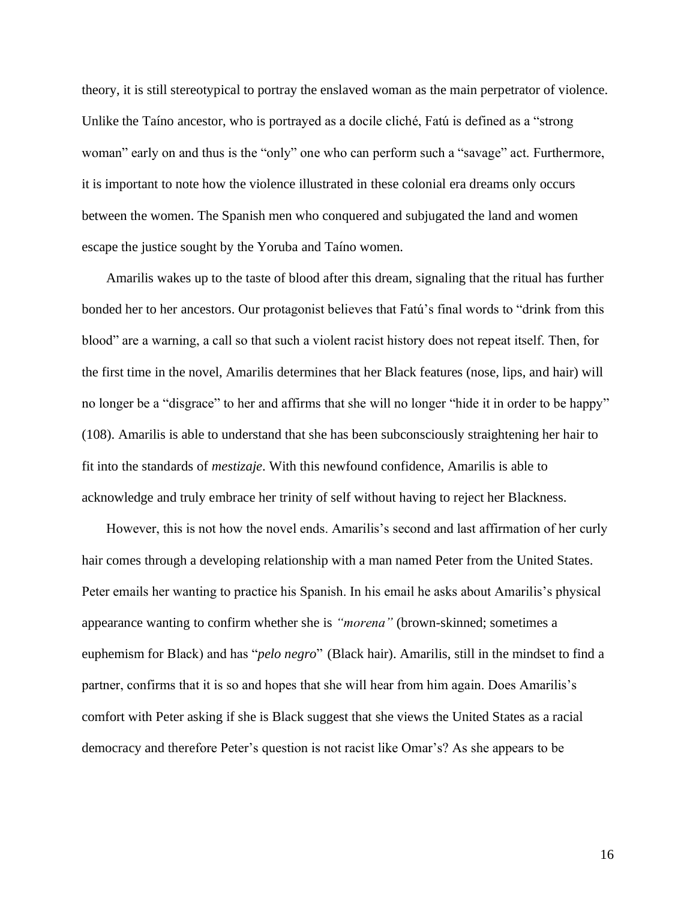theory, it is still stereotypical to portray the enslaved woman as the main perpetrator of violence. Unlike the Taíno ancestor, who is portrayed as a docile cliché, Fatú is defined as a "strong woman" early on and thus is the "only" one who can perform such a "savage" act. Furthermore, it is important to note how the violence illustrated in these colonial era dreams only occurs between the women. The Spanish men who conquered and subjugated the land and women escape the justice sought by the Yoruba and Taíno women.

Amarilis wakes up to the taste of blood after this dream, signaling that the ritual has further bonded her to her ancestors. Our protagonist believes that Fatú's final words to "drink from this blood" are a warning, a call so that such a violent racist history does not repeat itself. Then, for the first time in the novel, Amarilis determines that her Black features (nose, lips, and hair) will no longer be a "disgrace" to her and affirms that she will no longer "hide it in order to be happy" (108). Amarilis is able to understand that she has been subconsciously straightening her hair to fit into the standards of *mestizaje*. With this newfound confidence, Amarilis is able to acknowledge and truly embrace her trinity of self without having to reject her Blackness.

However, this is not how the novel ends. Amarilis's second and last affirmation of her curly hair comes through a developing relationship with a man named Peter from the United States. Peter emails her wanting to practice his Spanish. In his email he asks about Amarilis's physical appearance wanting to confirm whether she is *"morena"* (brown-skinned; sometimes a euphemism for Black) and has "*pelo negro*" (Black hair). Amarilis, still in the mindset to find a partner, confirms that it is so and hopes that she will hear from him again. Does Amarilis's comfort with Peter asking if she is Black suggest that she views the United States as a racial democracy and therefore Peter's question is not racist like Omar's? As she appears to be

16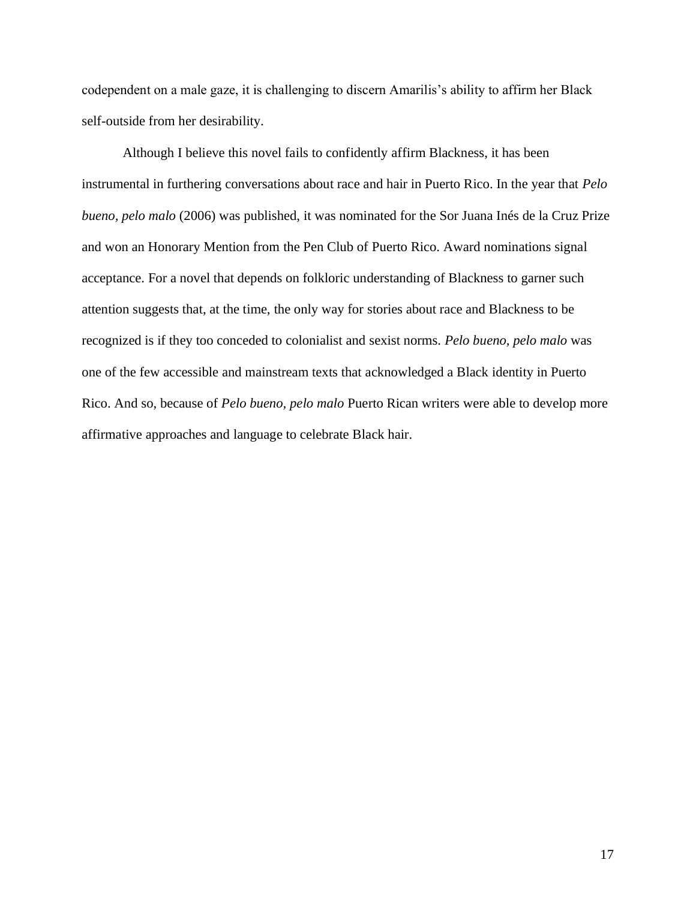codependent on a male gaze, it is challenging to discern Amarilis's ability to affirm her Black self-outside from her desirability.

Although I believe this novel fails to confidently affirm Blackness, it has been instrumental in furthering conversations about race and hair in Puerto Rico. In the year that *Pelo bueno, pelo malo* (2006) was published, it was nominated for the Sor Juana Inés de la Cruz Prize and won an Honorary Mention from the Pen Club of Puerto Rico. Award nominations signal acceptance. For a novel that depends on folkloric understanding of Blackness to garner such attention suggests that, at the time, the only way for stories about race and Blackness to be recognized is if they too conceded to colonialist and sexist norms. *Pelo bueno, pelo malo* was one of the few accessible and mainstream texts that acknowledged a Black identity in Puerto Rico. And so, because of *Pelo bueno, pelo malo* Puerto Rican writers were able to develop more affirmative approaches and language to celebrate Black hair.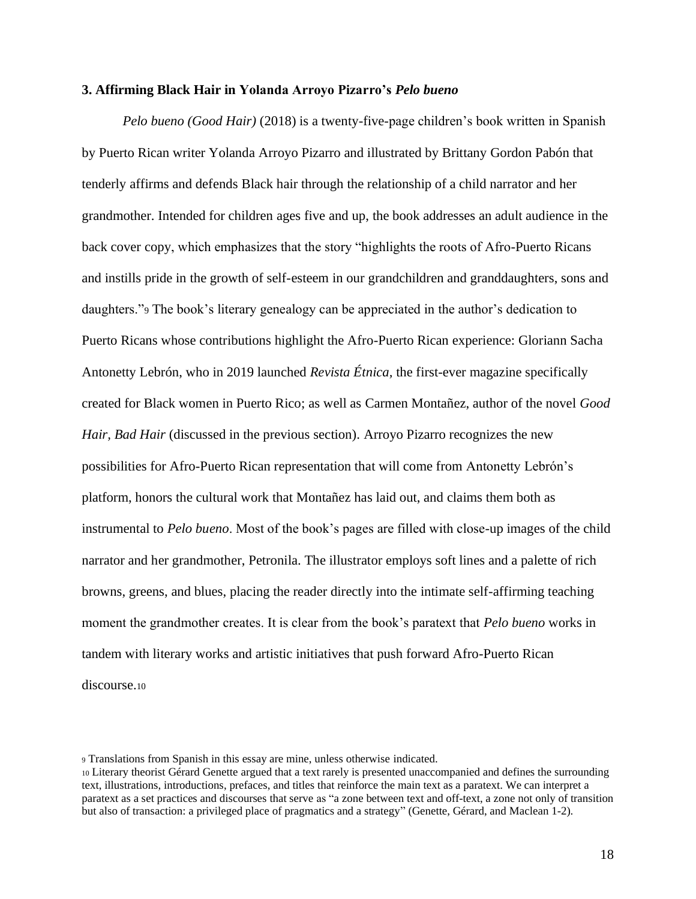#### <span id="page-23-0"></span>**3. Affirming Black Hair in Yolanda Arroyo Pizarro's** *Pelo bueno*

*Pelo bueno (Good Hair)* (2018) is a twenty-five-page children's book written in Spanish by Puerto Rican writer Yolanda Arroyo Pizarro and illustrated by Brittany Gordon Pabón that tenderly affirms and defends Black hair through the relationship of a child narrator and her grandmother. Intended for children ages five and up, the book addresses an adult audience in the back cover copy, which emphasizes that the story "highlights the roots of Afro-Puerto Ricans and instills pride in the growth of self-esteem in our grandchildren and granddaughters, sons and daughters."<sup>9</sup> The book's literary genealogy can be appreciated in the author's dedication to Puerto Ricans whose contributions highlight the Afro-Puerto Rican experience: Gloriann Sacha Antonetty Lebrón, who in 2019 launched *Revista Étnica,* the first-ever magazine specifically created for Black women in Puerto Rico; as well as Carmen Montañez, author of the novel *Good Hair, Bad Hair (discussed in the previous section). Arroyo Pizarro recognizes the new* possibilities for Afro-Puerto Rican representation that will come from Antonetty Lebrón's platform, honors the cultural work that Montañez has laid out, and claims them both as instrumental to *Pelo bueno*. Most of the book's pages are filled with close-up images of the child narrator and her grandmother, Petronila. The illustrator employs soft lines and a palette of rich browns, greens, and blues, placing the reader directly into the intimate self-affirming teaching moment the grandmother creates. It is clear from the book's paratext that *Pelo bueno* works in tandem with literary works and artistic initiatives that push forward Afro-Puerto Rican discourse.<sup>10</sup>

<sup>9</sup> Translations from Spanish in this essay are mine, unless otherwise indicated.

<sup>10</sup> Literary theorist Gérard Genette argued that a text rarely is presented unaccompanied and defines the surrounding text, illustrations, introductions, prefaces, and titles that reinforce the main text as a paratext. We can interpret a paratext as a set practices and discourses that serve as "a zone between text and off-text, a zone not only of transition but also of transaction: a privileged place of pragmatics and a strategy" (Genette, Gérard, and Maclean 1-2).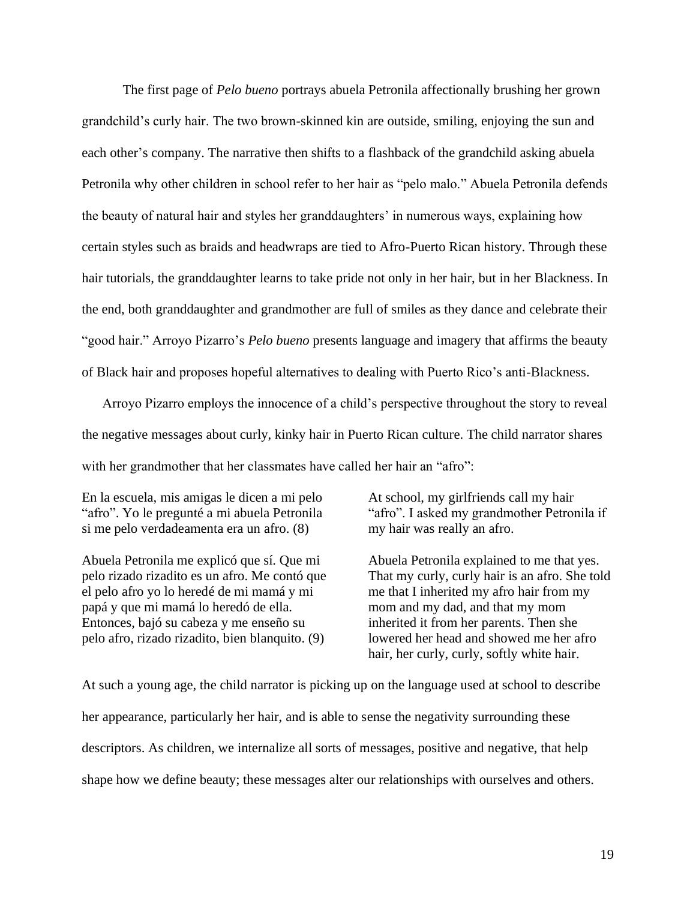The first page of *Pelo bueno* portrays abuela Petronila affectionally brushing her grown grandchild's curly hair. The two brown-skinned kin are outside, smiling, enjoying the sun and each other's company. The narrative then shifts to a flashback of the grandchild asking abuela Petronila why other children in school refer to her hair as "pelo malo." Abuela Petronila defends the beauty of natural hair and styles her granddaughters' in numerous ways, explaining how certain styles such as braids and headwraps are tied to Afro-Puerto Rican history. Through these hair tutorials, the granddaughter learns to take pride not only in her hair, but in her Blackness. In the end, both granddaughter and grandmother are full of smiles as they dance and celebrate their "good hair." Arroyo Pizarro's *Pelo bueno* presents language and imagery that affirms the beauty of Black hair and proposes hopeful alternatives to dealing with Puerto Rico's anti-Blackness.

Arroyo Pizarro employs the innocence of a child's perspective throughout the story to reveal the negative messages about curly, kinky hair in Puerto Rican culture. The child narrator shares with her grandmother that her classmates have called her hair an "afro":

En la escuela, mis amigas le dicen a mi pelo "afro". Yo le pregunté a mi abuela Petronila si me pelo verdadeamenta era un afro. (8)

Abuela Petronila me explicó que sí. Que mi pelo rizado rizadito es un afro. Me contó que el pelo afro yo lo heredé de mi mamá y mi papá y que mi mamá lo heredó de ella. Entonces, bajó su cabeza y me enseño su pelo afro, rizado rizadito, bien blanquito. (9)

At school, my girlfriends call my hair "afro". I asked my grandmother Petronila if my hair was really an afro.

Abuela Petronila explained to me that yes. That my curly, curly hair is an afro. She told me that I inherited my afro hair from my mom and my dad, and that my mom inherited it from her parents. Then she lowered her head and showed me her afro hair, her curly, curly, softly white hair.

At such a young age, the child narrator is picking up on the language used at school to describe her appearance, particularly her hair, and is able to sense the negativity surrounding these descriptors. As children, we internalize all sorts of messages, positive and negative, that help shape how we define beauty; these messages alter our relationships with ourselves and others.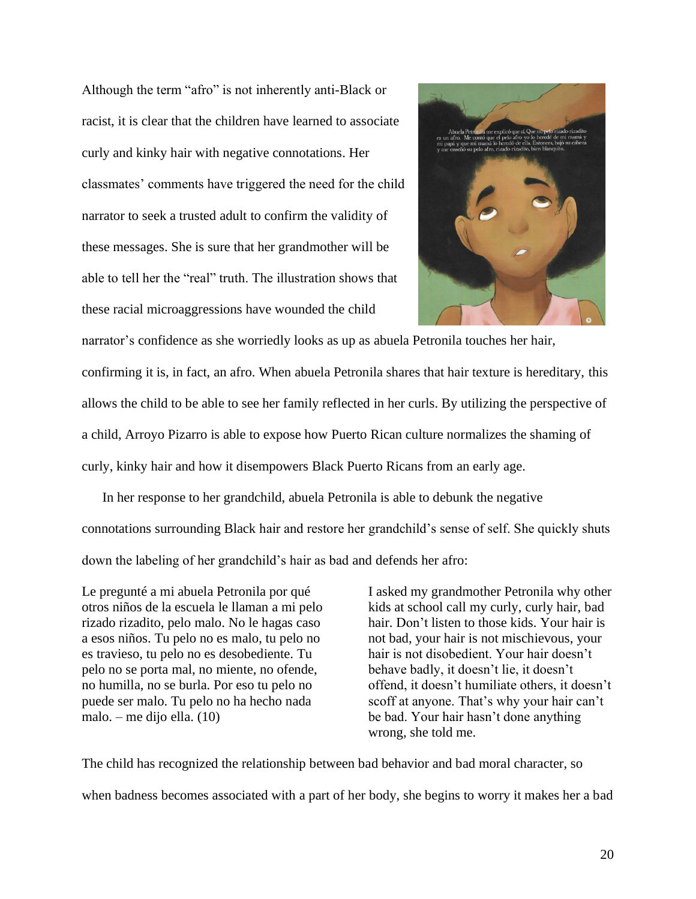Although the term "afro" is not inherently anti-Black or racist, it is clear that the children have learned to associate curly and kinky hair with negative connotations. Her classmates' comments have triggered the need for the child narrator to seek a trusted adult to confirm the validity of these messages. She is sure that her grandmother will be able to tell her the "real" truth. The illustration shows that these racial microaggressions have wounded the child



narrator's confidence as she worriedly looks as up as abuela Petronila touches her hair, confirming it is, in fact, an afro. When abuela Petronila shares that hair texture is hereditary, this allows the child to be able to see her family reflected in her curls. By utilizing the perspective of a child, Arroyo Pizarro is able to expose how Puerto Rican culture normalizes the shaming of curly, kinky hair and how it disempowers Black Puerto Ricans from an early age.

In her response to her grandchild, abuela Petronila is able to debunk the negative connotations surrounding Black hair and restore her grandchild's sense of self. She quickly shuts down the labeling of her grandchild's hair as bad and defends her afro:

Le pregunté a mi abuela Petronila por qué otros niños de la escuela le llaman a mi pelo rizado rizadito, pelo malo. No le hagas caso a esos niños. Tu pelo no es malo, tu pelo no es travieso, tu pelo no es desobediente. Tu pelo no se porta mal, no miente, no ofende, no humilla, no se burla. Por eso tu pelo no puede ser malo. Tu pelo no ha hecho nada malo. – me dijo ella. (10)

I asked my grandmother Petronila why other kids at school call my curly, curly hair, bad hair. Don't listen to those kids. Your hair is not bad, your hair is not mischievous, your hair is not disobedient. Your hair doesn't behave badly, it doesn't lie, it doesn't offend, it doesn't humiliate others, it doesn't scoff at anyone. That's why your hair can't be bad. Your hair hasn't done anything wrong, she told me.

The child has recognized the relationship between bad behavior and bad moral character, so when badness becomes associated with a part of her body, she begins to worry it makes her a bad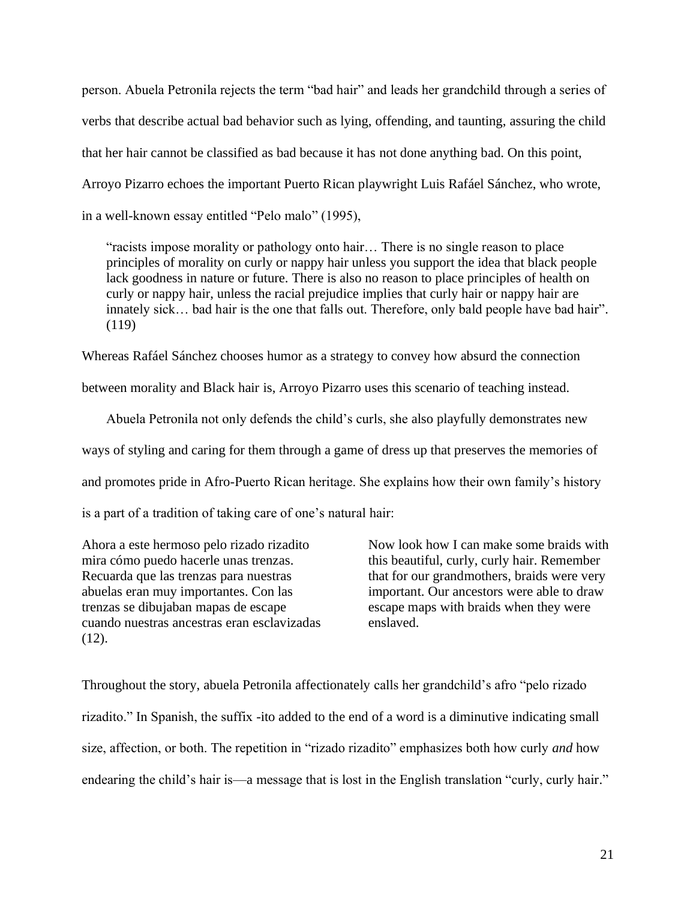person. Abuela Petronila rejects the term "bad hair" and leads her grandchild through a series of verbs that describe actual bad behavior such as lying, offending, and taunting, assuring the child that her hair cannot be classified as bad because it has not done anything bad. On this point, Arroyo Pizarro echoes the important Puerto Rican playwright Luis Rafáel Sánchez, who wrote, in a well-known essay entitled "Pelo malo" (1995),

"racists impose morality or pathology onto hair… There is no single reason to place principles of morality on curly or nappy hair unless you support the idea that black people lack goodness in nature or future. There is also no reason to place principles of health on curly or nappy hair, unless the racial prejudice implies that curly hair or nappy hair are innately sick... bad hair is the one that falls out. Therefore, only bald people have bad hair". (119)

Whereas Rafáel Sánchez chooses humor as a strategy to convey how absurd the connection

between morality and Black hair is, Arroyo Pizarro uses this scenario of teaching instead.

Abuela Petronila not only defends the child's curls, she also playfully demonstrates new ways of styling and caring for them through a game of dress up that preserves the memories of and promotes pride in Afro-Puerto Rican heritage. She explains how their own family's history is a part of a tradition of taking care of one's natural hair:

Ahora a este hermoso pelo rizado rizadito mira cómo puedo hacerle unas trenzas. Recuarda que las trenzas para nuestras abuelas eran muy importantes. Con las trenzas se dibujaban mapas de escape cuando nuestras ancestras eran esclavizadas (12).

Now look how I can make some braids with this beautiful, curly, curly hair. Remember that for our grandmothers, braids were very important. Our ancestors were able to draw escape maps with braids when they were enslaved.

Throughout the story, abuela Petronila affectionately calls her grandchild's afro "pelo rizado rizadito." In Spanish, the suffix -ito added to the end of a word is a diminutive indicating small size, affection, or both. The repetition in "rizado rizadito" emphasizes both how curly *and* how endearing the child's hair is—a message that is lost in the English translation "curly, curly hair."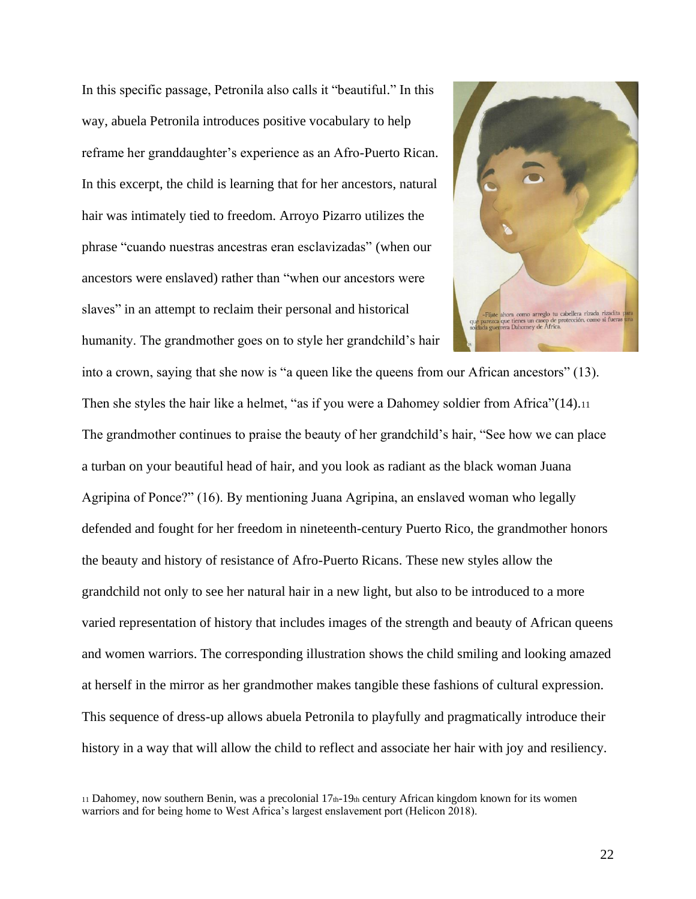In this specific passage, Petronila also calls it "beautiful." In this way, abuela Petronila introduces positive vocabulary to help reframe her granddaughter's experience as an Afro-Puerto Rican. In this excerpt, the child is learning that for her ancestors, natural hair was intimately tied to freedom. Arroyo Pizarro utilizes the phrase "cuando nuestras ancestras eran esclavizadas" (when our ancestors were enslaved) rather than "when our ancestors were slaves" in an attempt to reclaim their personal and historical humanity. The grandmother goes on to style her grandchild's hair



into a crown, saying that she now is "a queen like the queens from our African ancestors" (13). Then she styles the hair like a helmet, "as if you were a Dahomey soldier from Africa" (14).<sup>11</sup> The grandmother continues to praise the beauty of her grandchild's hair, "See how we can place a turban on your beautiful head of hair, and you look as radiant as the black woman Juana Agripina of Ponce?" (16). By mentioning Juana Agripina, an enslaved woman who legally defended and fought for her freedom in nineteenth-century Puerto Rico, the grandmother honors the beauty and history of resistance of Afro-Puerto Ricans. These new styles allow the grandchild not only to see her natural hair in a new light, but also to be introduced to a more varied representation of history that includes images of the strength and beauty of African queens and women warriors. The corresponding illustration shows the child smiling and looking amazed at herself in the mirror as her grandmother makes tangible these fashions of cultural expression. This sequence of dress-up allows abuela Petronila to playfully and pragmatically introduce their history in a way that will allow the child to reflect and associate her hair with joy and resiliency.

<sup>11</sup> Dahomey, now southern Benin, was a precolonial 17th-19th century African kingdom known for its women warriors and for being home to West Africa's largest enslavement port (Helicon 2018).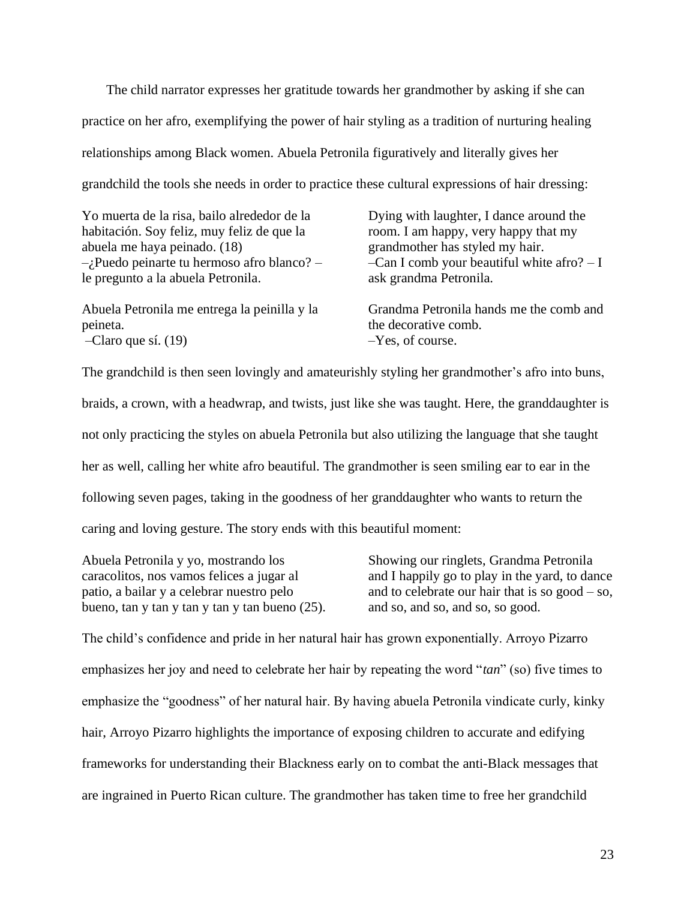The child narrator expresses her gratitude towards her grandmother by asking if she can practice on her afro, exemplifying the power of hair styling as a tradition of nurturing healing relationships among Black women. Abuela Petronila figuratively and literally gives her grandchild the tools she needs in order to practice these cultural expressions of hair dressing:

| Yo muerta de la risa, bailo alrededor de la   | Dying with laughter, I dance around the     |
|-----------------------------------------------|---------------------------------------------|
| habitación. Soy feliz, muy feliz de que la    | room. I am happy, very happy that my        |
| abuela me haya peinado. (18)                  | grandmother has styled my hair.             |
| $-i$ Puedo peinarte tu hermoso afro blanco? – | -Can I comb your beautiful white afro? $-I$ |
| le pregunto a la abuela Petronila.            | ask grandma Petronila.                      |
| Abuela Petronila me entrega la peinilla y la  | Grandma Petronila hands me the comb and     |
| peineta.                                      | the decorative comb.                        |
| $-Claro$ que sí. (19)                         | $-Y$ es, of course.                         |

The grandchild is then seen lovingly and amateurishly styling her grandmother's afro into buns, braids, a crown, with a headwrap, and twists, just like she was taught. Here, the granddaughter is not only practicing the styles on abuela Petronila but also utilizing the language that she taught her as well, calling her white afro beautiful. The grandmother is seen smiling ear to ear in the following seven pages, taking in the goodness of her granddaughter who wants to return the caring and loving gesture. The story ends with this beautiful moment:

Abuela Petronila y yo, mostrando los caracolitos, nos vamos felices a jugar al patio, a bailar y a celebrar nuestro pelo bueno, tan y tan y tan y tan y tan bueno (25). Showing our ringlets, Grandma Petronila and I happily go to play in the yard, to dance and to celebrate our hair that is so  $good - so$ , and so, and so, and so, so good.

The child's confidence and pride in her natural hair has grown exponentially. Arroyo Pizarro emphasizes her joy and need to celebrate her hair by repeating the word "*tan*" (so) five times to emphasize the "goodness" of her natural hair. By having abuela Petronila vindicate curly, kinky hair, Arroyo Pizarro highlights the importance of exposing children to accurate and edifying frameworks for understanding their Blackness early on to combat the anti-Black messages that are ingrained in Puerto Rican culture. The grandmother has taken time to free her grandchild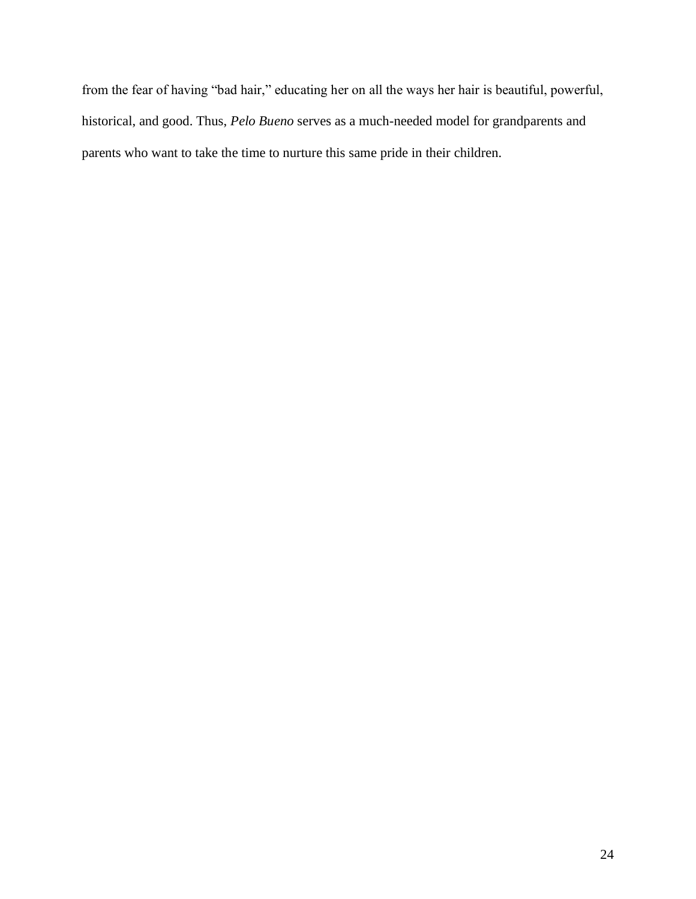<span id="page-29-0"></span>from the fear of having "bad hair," educating her on all the ways her hair is beautiful, powerful, historical, and good. Thus, *Pelo Bueno* serves as a much-needed model for grandparents and parents who want to take the time to nurture this same pride in their children.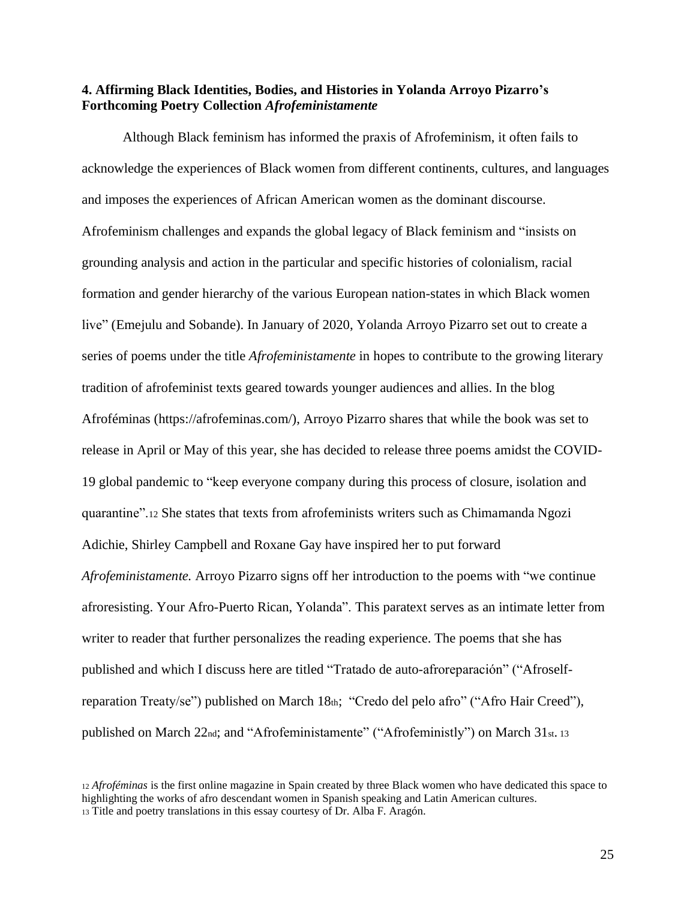# **4. Affirming Black Identities, Bodies, and Histories in Yolanda Arroyo Pizarro's Forthcoming Poetry Collection** *Afrofeministamente*

Although Black feminism has informed the praxis of Afrofeminism, it often fails to acknowledge the experiences of Black women from different continents, cultures, and languages and imposes the experiences of African American women as the dominant discourse. Afrofeminism challenges and expands the global legacy of Black feminism and "insists on grounding analysis and action in the particular and specific histories of colonialism, racial formation and gender hierarchy of the various European nation-states in which Black women live" (Emejulu and Sobande). In January of 2020, Yolanda Arroyo Pizarro set out to create a series of poems under the title *Afrofeministamente* in hopes to contribute to the growing literary tradition of afrofeminist texts geared towards younger audiences and allies. In the blog Afroféminas (https://afrofeminas.com/), Arroyo Pizarro shares that while the book was set to release in April or May of this year, she has decided to release three poems amidst the COVID-19 global pandemic to "keep everyone company during this process of closure, isolation and quarantine".<sup>12</sup> She states that texts from afrofeminists writers such as Chimamanda Ngozi Adichie, Shirley Campbell and Roxane Gay have inspired her to put forward *Afrofeministamente.* Arroyo Pizarro signs off her introduction to the poems with "we continue afroresisting. Your Afro-Puerto Rican, Yolanda". This paratext serves as an intimate letter from writer to reader that further personalizes the reading experience. The poems that she has published and which I discuss here are titled "Tratado de auto-afroreparación" ("Afroselfreparation Treaty/se") published on March 18th; "Credo del pelo afro" ("Afro Hair Creed"), published on March 22nd; and "Afrofeministamente" ("Afrofeministly") on March 31st. <sup>13</sup>

<sup>12</sup> *Afroféminas* is the first online magazine in Spain created by three Black women who have dedicated this space to highlighting the works of afro descendant women in Spanish speaking and Latin American cultures. <sup>13</sup> Title and poetry translations in this essay courtesy of Dr. Alba F. Aragón.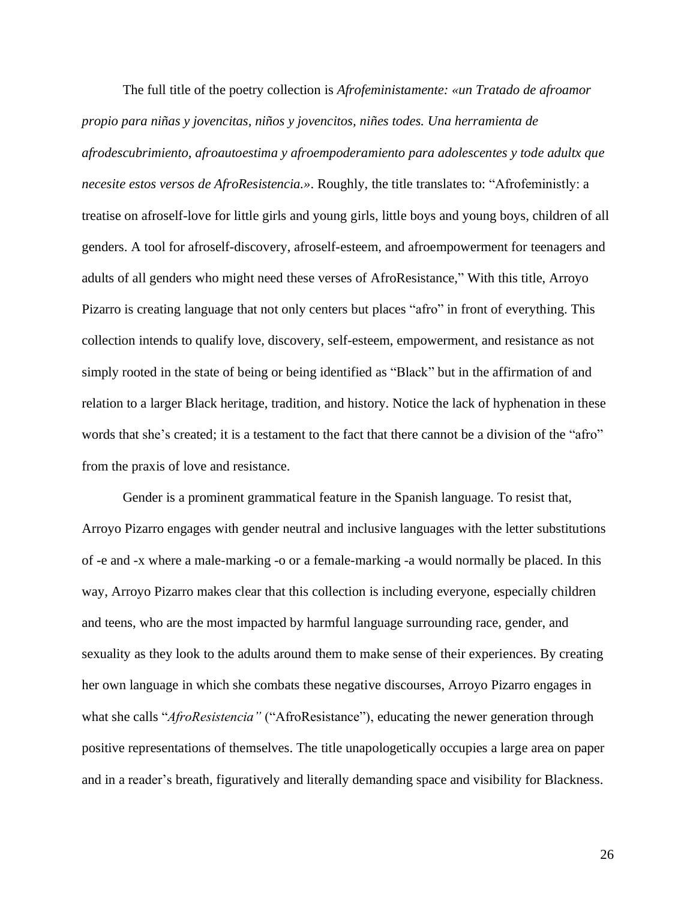The full title of the poetry collection is *Afrofeministamente: «un Tratado de afroamor propio para niñas y jovencitas, niños y jovencitos, niñes todes. Una herramienta de afrodescubrimiento, afroautoestima y afroempoderamiento para adolescentes y tode adultx que necesite estos versos de AfroResistencia.»*. Roughly, the title translates to: "Afrofeministly: a treatise on afroself-love for little girls and young girls, little boys and young boys, children of all genders. A tool for afroself-discovery, afroself-esteem, and afroempowerment for teenagers and adults of all genders who might need these verses of AfroResistance," With this title, Arroyo Pizarro is creating language that not only centers but places "afro" in front of everything. This collection intends to qualify love, discovery, self-esteem, empowerment, and resistance as not simply rooted in the state of being or being identified as "Black" but in the affirmation of and relation to a larger Black heritage, tradition, and history. Notice the lack of hyphenation in these words that she's created; it is a testament to the fact that there cannot be a division of the "afro" from the praxis of love and resistance.

Gender is a prominent grammatical feature in the Spanish language. To resist that, Arroyo Pizarro engages with gender neutral and inclusive languages with the letter substitutions of -e and -x where a male-marking -o or a female-marking -a would normally be placed. In this way, Arroyo Pizarro makes clear that this collection is including everyone, especially children and teens, who are the most impacted by harmful language surrounding race, gender, and sexuality as they look to the adults around them to make sense of their experiences. By creating her own language in which she combats these negative discourses, Arroyo Pizarro engages in what she calls "*AfroResistencia*" ("AfroResistance"), educating the newer generation through positive representations of themselves. The title unapologetically occupies a large area on paper and in a reader's breath, figuratively and literally demanding space and visibility for Blackness.

26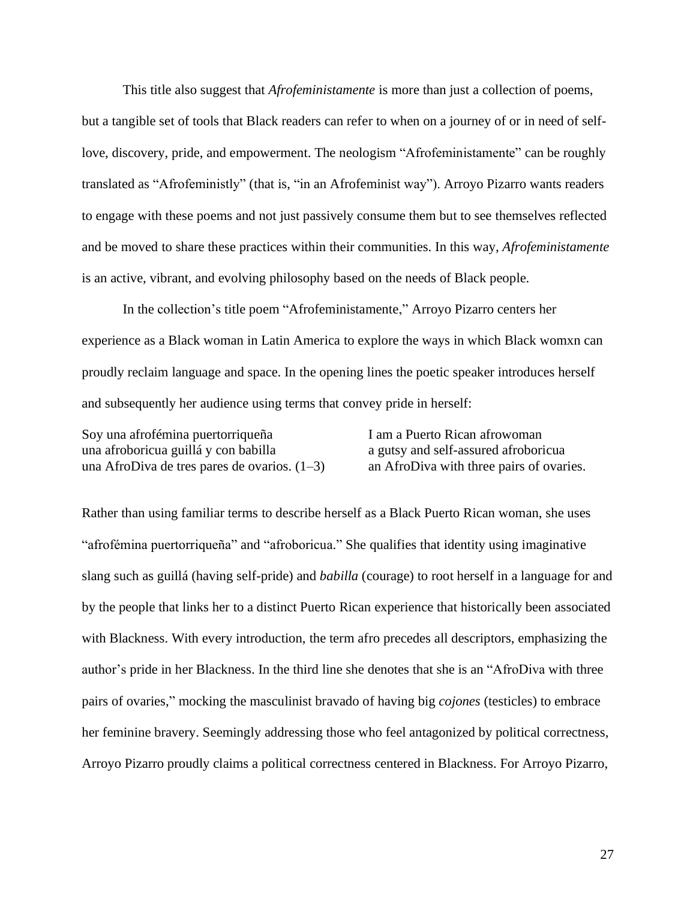This title also suggest that *Afrofeministamente* is more than just a collection of poems,

but a tangible set of tools that Black readers can refer to when on a journey of or in need of selflove, discovery, pride, and empowerment. The neologism "Afrofeministamente" can be roughly translated as "Afrofeministly" (that is, "in an Afrofeminist way"). Arroyo Pizarro wants readers to engage with these poems and not just passively consume them but to see themselves reflected and be moved to share these practices within their communities. In this way, *Afrofeministamente* is an active, vibrant, and evolving philosophy based on the needs of Black people.

In the collection's title poem "Afrofeministamente," Arroyo Pizarro centers her experience as a Black woman in Latin America to explore the ways in which Black womxn can proudly reclaim language and space. In the opening lines the poetic speaker introduces herself and subsequently her audience using terms that convey pride in herself:

Soy una afrofémina puertorriqueña una afroboricua guillá y con babilla una AfroDiva de tres pares de ovarios. (1–3) I am a Puerto Rican afrowoman a gutsy and self-assured afroboricua an AfroDiva with three pairs of ovaries.

Rather than using familiar terms to describe herself as a Black Puerto Rican woman, she uses "afrofémina puertorriqueña" and "afroboricua." She qualifies that identity using imaginative slang such as guillá (having self-pride) and *babilla* (courage) to root herself in a language for and by the people that links her to a distinct Puerto Rican experience that historically been associated with Blackness. With every introduction, the term afro precedes all descriptors, emphasizing the author's pride in her Blackness. In the third line she denotes that she is an "AfroDiva with three pairs of ovaries," mocking the masculinist bravado of having big *cojones* (testicles) to embrace her feminine bravery. Seemingly addressing those who feel antagonized by political correctness, Arroyo Pizarro proudly claims a political correctness centered in Blackness. For Arroyo Pizarro,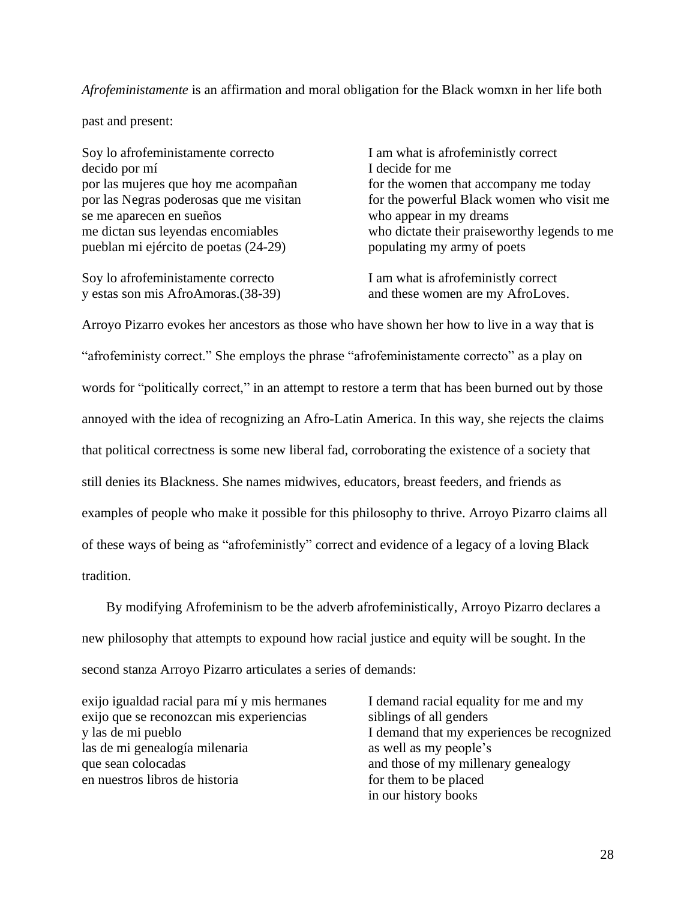## *Afrofeministamente* is an affirmation and moral obligation for the Black womxn in her life both

past and present:

Soy lo afrofeministamente correcto decido por mí por las mujeres que hoy me acompañan por las Negras poderosas que me visitan se me aparecen en sueños me dictan sus leyendas encomiables pueblan mi ejército de poetas (24-29)

Soy lo afrofeministamente correcto y estas son mis AfroAmoras.(38-39) I am what is afrofeministly correct I decide for me for the women that accompany me today for the powerful Black women who visit me who appear in my dreams who dictate their praiseworthy legends to me populating my army of poets

I am what is afrofeministly correct and these women are my AfroLoves.

Arroyo Pizarro evokes her ancestors as those who have shown her how to live in a way that is "afrofeministy correct." She employs the phrase "afrofeministamente correcto" as a play on words for "politically correct," in an attempt to restore a term that has been burned out by those annoyed with the idea of recognizing an Afro-Latin America. In this way, she rejects the claims that political correctness is some new liberal fad, corroborating the existence of a society that still denies its Blackness. She names midwives, educators, breast feeders, and friends as examples of people who make it possible for this philosophy to thrive. Arroyo Pizarro claims all of these ways of being as "afrofeministly" correct and evidence of a legacy of a loving Black tradition.

By modifying Afrofeminism to be the adverb afrofeministically, Arroyo Pizarro declares a new philosophy that attempts to expound how racial justice and equity will be sought. In the second stanza Arroyo Pizarro articulates a series of demands:

exijo igualdad racial para mí y mis hermanes exijo que se reconozcan mis experiencias y las de mi pueblo las de mi genealogía milenaria que sean colocadas en nuestros libros de historia

I demand racial equality for me and my siblings of all genders I demand that my experiences be recognized as well as my people's and those of my millenary genealogy for them to be placed in our history books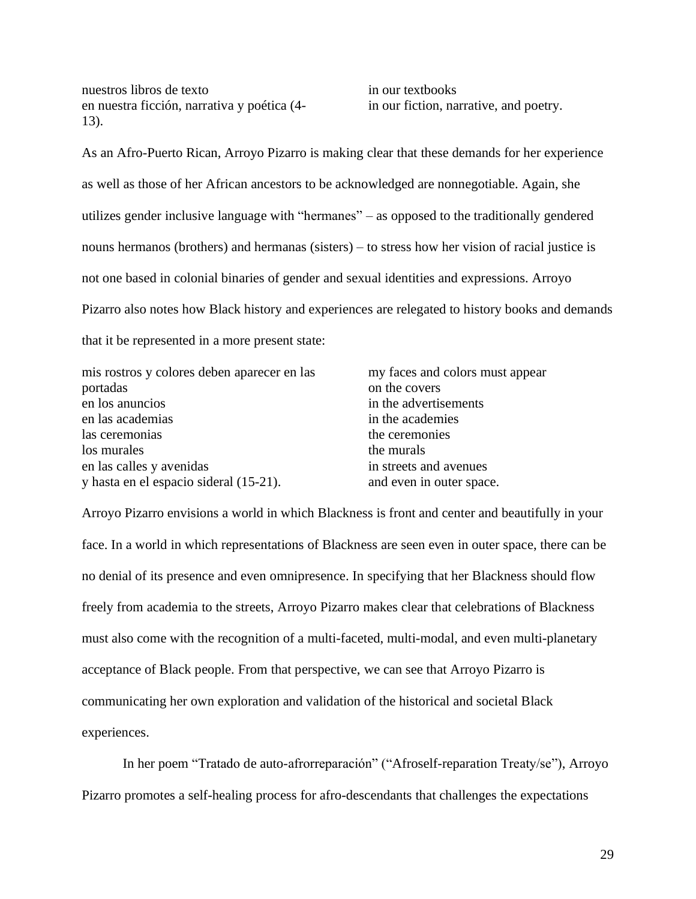nuestros libros de texto en nuestra ficción, narrativa y poética (4- 13).

in our textbooks in our fiction, narrative, and poetry.

As an Afro-Puerto Rican, Arroyo Pizarro is making clear that these demands for her experience as well as those of her African ancestors to be acknowledged are nonnegotiable. Again, she utilizes gender inclusive language with "hermanes" – as opposed to the traditionally gendered nouns hermanos (brothers) and hermanas (sisters) – to stress how her vision of racial justice is not one based in colonial binaries of gender and sexual identities and expressions. Arroyo Pizarro also notes how Black history and experiences are relegated to history books and demands that it be represented in a more present state:

| mis rostros y colores deben aparecer en las | my faces and colors must appear |
|---------------------------------------------|---------------------------------|
| portadas                                    | on the covers                   |
| en los anuncios                             | in the advertisements           |
| en las academias                            | in the academies                |
| las ceremonias                              | the ceremonies                  |
| los murales                                 | the murals                      |
| en las calles y avenidas                    | in streets and avenues          |
| y hasta en el espacio sideral (15-21).      | and even in outer space.        |

Arroyo Pizarro envisions a world in which Blackness is front and center and beautifully in your face. In a world in which representations of Blackness are seen even in outer space, there can be no denial of its presence and even omnipresence. In specifying that her Blackness should flow freely from academia to the streets, Arroyo Pizarro makes clear that celebrations of Blackness must also come with the recognition of a multi-faceted, multi-modal, and even multi-planetary acceptance of Black people. From that perspective, we can see that Arroyo Pizarro is communicating her own exploration and validation of the historical and societal Black experiences.

In her poem "Tratado de auto-afrorreparación" ("Afroself-reparation Treaty/se"), Arroyo Pizarro promotes a self-healing process for afro-descendants that challenges the expectations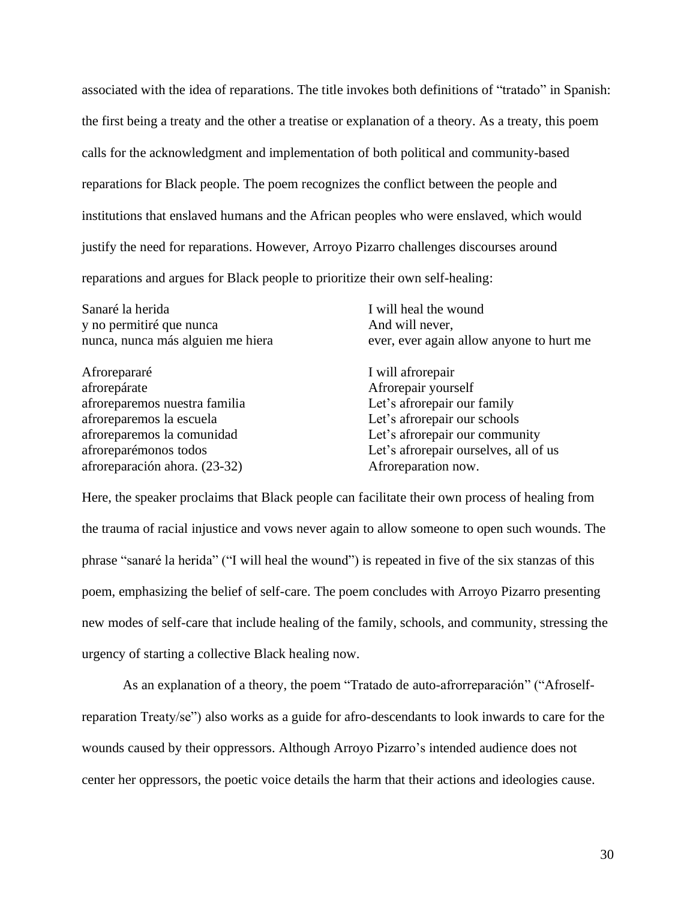associated with the idea of reparations. The title invokes both definitions of "tratado" in Spanish: the first being a treaty and the other a treatise or explanation of a theory. As a treaty, this poem calls for the acknowledgment and implementation of both political and community-based reparations for Black people. The poem recognizes the conflict between the people and institutions that enslaved humans and the African peoples who were enslaved, which would justify the need for reparations. However, Arroyo Pizarro challenges discourses around reparations and argues for Black people to prioritize their own self-healing:

Sanaré la herida y no permitiré que nunca nunca, nunca más alguien me hiera Afrorepararé afrorepárate afroreparemos nuestra familia afroreparemos la escuela afroreparemos la comunidad afroreparémonos todos I will heal the wound And will never, ever, ever again allow anyone to hurt me I will afrorepair Afrorepair yourself Let's afrorepair our family Let's afrorepair our schools Let's afrorepair our community Let's afrorepair ourselves, all of us

afroreparación ahora. (23-32)

Here, the speaker proclaims that Black people can facilitate their own process of healing from the trauma of racial injustice and vows never again to allow someone to open such wounds. The phrase "sanaré la herida" ("I will heal the wound") is repeated in five of the six stanzas of this poem, emphasizing the belief of self-care. The poem concludes with Arroyo Pizarro presenting new modes of self-care that include healing of the family, schools, and community, stressing the urgency of starting a collective Black healing now.

Afroreparation now.

As an explanation of a theory, the poem "Tratado de auto-afrorreparación" ("Afroselfreparation Treaty/se") also works as a guide for afro-descendants to look inwards to care for the wounds caused by their oppressors. Although Arroyo Pizarro's intended audience does not center her oppressors, the poetic voice details the harm that their actions and ideologies cause.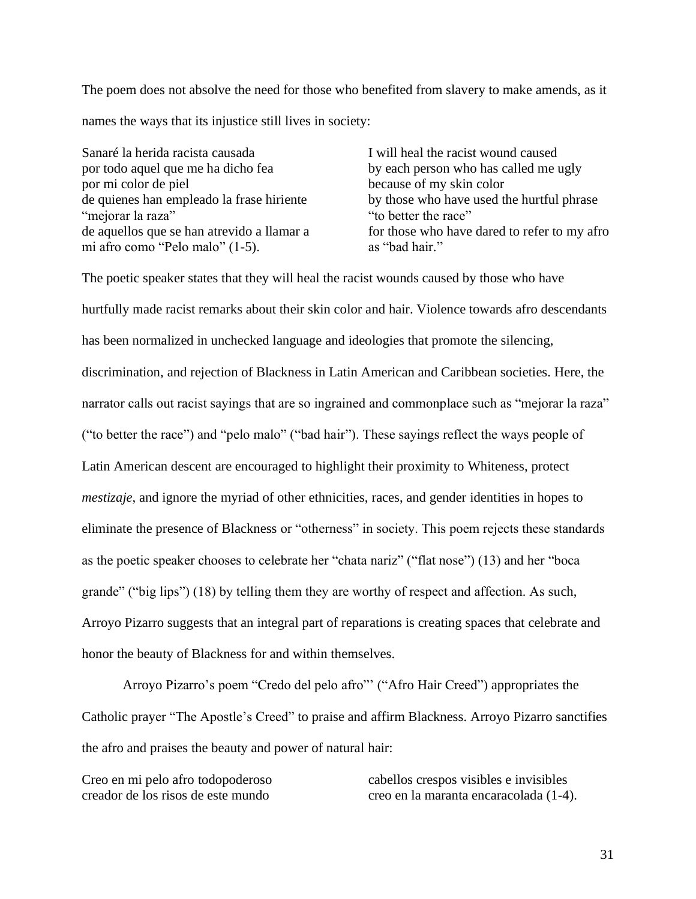The poem does not absolve the need for those who benefited from slavery to make amends, as it names the ways that its injustice still lives in society:

Sanaré la herida racista causada por todo aquel que me ha dicho fea por mi color de piel de quienes han empleado la frase hiriente "mejorar la raza" de aquellos que se han atrevido a llamar a mi afro como "Pelo malo" (1-5).

I will heal the racist wound caused by each person who has called me ugly because of my skin color by those who have used the hurtful phrase "to better the race" for those who have dared to refer to my afro as "bad hair."

The poetic speaker states that they will heal the racist wounds caused by those who have hurtfully made racist remarks about their skin color and hair. Violence towards afro descendants has been normalized in unchecked language and ideologies that promote the silencing, discrimination, and rejection of Blackness in Latin American and Caribbean societies. Here, the narrator calls out racist sayings that are so ingrained and commonplace such as "mejorar la raza" ("to better the race") and "pelo malo" ("bad hair"). These sayings reflect the ways people of Latin American descent are encouraged to highlight their proximity to Whiteness, protect *mestizaje*, and ignore the myriad of other ethnicities, races, and gender identities in hopes to eliminate the presence of Blackness or "otherness" in society. This poem rejects these standards as the poetic speaker chooses to celebrate her "chata nariz" ("flat nose") (13) and her "boca grande" ("big lips") (18) by telling them they are worthy of respect and affection. As such, Arroyo Pizarro suggests that an integral part of reparations is creating spaces that celebrate and honor the beauty of Blackness for and within themselves.

Arroyo Pizarro's poem "Credo del pelo afro"' ("Afro Hair Creed") appropriates the Catholic prayer "The Apostle's Creed" to praise and affirm Blackness. Arroyo Pizarro sanctifies the afro and praises the beauty and power of natural hair:

Creo en mi pelo afro todopoderoso creador de los risos de este mundo

cabellos crespos visibles e invisibles creo en la maranta encaracolada (1-4).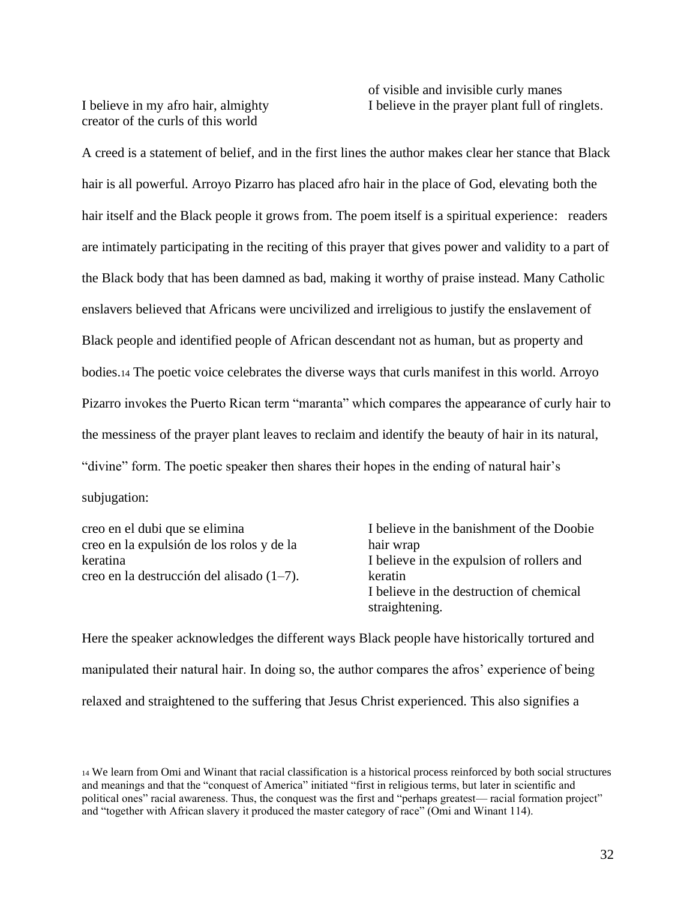I believe in my afro hair, almighty creator of the curls of this world

of visible and invisible curly manes I believe in the prayer plant full of ringlets.

A creed is a statement of belief, and in the first lines the author makes clear her stance that Black hair is all powerful. Arroyo Pizarro has placed afro hair in the place of God, elevating both the hair itself and the Black people it grows from. The poem itself is a spiritual experience: readers are intimately participating in the reciting of this prayer that gives power and validity to a part of the Black body that has been damned as bad, making it worthy of praise instead. Many Catholic enslavers believed that Africans were uncivilized and irreligious to justify the enslavement of Black people and identified people of African descendant not as human, but as property and bodies.<sup>14</sup> The poetic voice celebrates the diverse ways that curls manifest in this world. Arroyo Pizarro invokes the Puerto Rican term "maranta" which compares the appearance of curly hair to the messiness of the prayer plant leaves to reclaim and identify the beauty of hair in its natural, "divine" form. The poetic speaker then shares their hopes in the ending of natural hair's subjugation:

creo en el dubi que se elimina creo en la expulsión de los rolos y de la keratina creo en la destrucción del alisado (1–7). I believe in the banishment of the Doobie hair wrap I believe in the expulsion of rollers and keratin I believe in the destruction of chemical straightening.

Here the speaker acknowledges the different ways Black people have historically tortured and manipulated their natural hair. In doing so, the author compares the afros' experience of being relaxed and straightened to the suffering that Jesus Christ experienced. This also signifies a

<sup>14</sup> We learn from Omi and Winant that racial classification is a historical process reinforced by both social structures and meanings and that the "conquest of America" initiated "first in religious terms, but later in scientific and political ones" racial awareness. Thus, the conquest was the first and "perhaps greatest— racial formation project" and "together with African slavery it produced the master category of race" (Omi and Winant 114).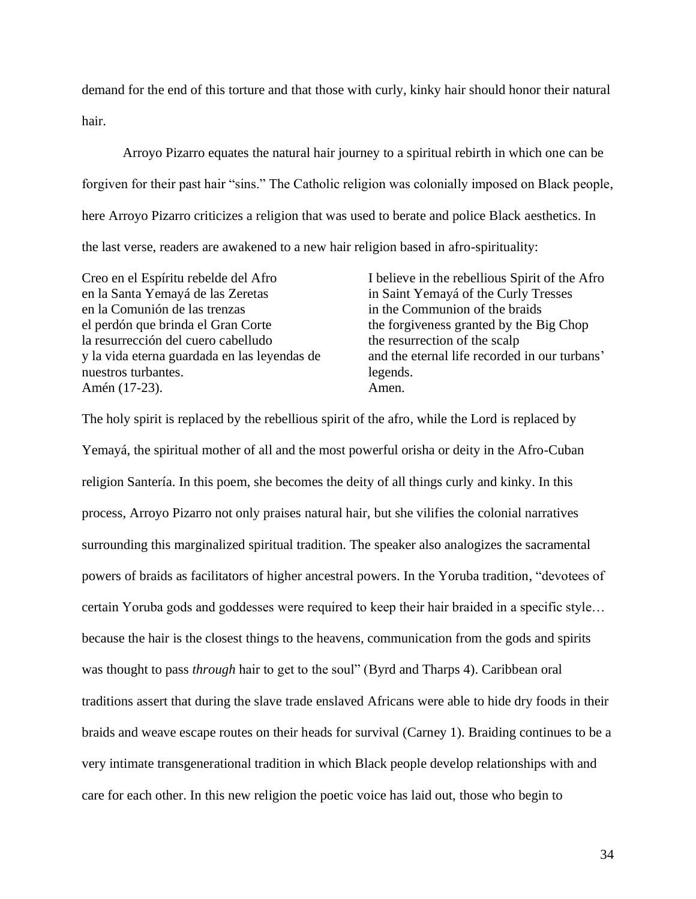demand for the end of this torture and that those with curly, kinky hair should honor their natural hair.

Arroyo Pizarro equates the natural hair journey to a spiritual rebirth in which one can be forgiven for their past hair "sins." The Catholic religion was colonially imposed on Black people, here Arroyo Pizarro criticizes a religion that was used to berate and police Black aesthetics. In the last verse, readers are awakened to a new hair religion based in afro-spirituality:

Creo en el Espíritu rebelde del Afro en la Santa Yemayá de las Zeretas en la Comunión de las trenzas el perdón que brinda el Gran Corte la resurrección del cuero cabelludo y la vida eterna guardada en las leyendas de nuestros turbantes. Amén (17-23).

I believe in the rebellious Spirit of the Afro in Saint Yemayá of the Curly Tresses in the Communion of the braids the forgiveness granted by the Big Chop the resurrection of the scalp and the eternal life recorded in our turbans' legends. Amen.

The holy spirit is replaced by the rebellious spirit of the afro, while the Lord is replaced by Yemayá, the spiritual mother of all and the most powerful orisha or deity in the Afro-Cuban religion Santería. In this poem, she becomes the deity of all things curly and kinky. In this process, Arroyo Pizarro not only praises natural hair, but she vilifies the colonial narratives surrounding this marginalized spiritual tradition. The speaker also analogizes the sacramental powers of braids as facilitators of higher ancestral powers. In the Yoruba tradition, "devotees of certain Yoruba gods and goddesses were required to keep their hair braided in a specific style… because the hair is the closest things to the heavens, communication from the gods and spirits was thought to pass *through* hair to get to the soul" (Byrd and Tharps 4). Caribbean oral traditions assert that during the slave trade enslaved Africans were able to hide dry foods in their braids and weave escape routes on their heads for survival (Carney 1). Braiding continues to be a very intimate transgenerational tradition in which Black people develop relationships with and care for each other. In this new religion the poetic voice has laid out, those who begin to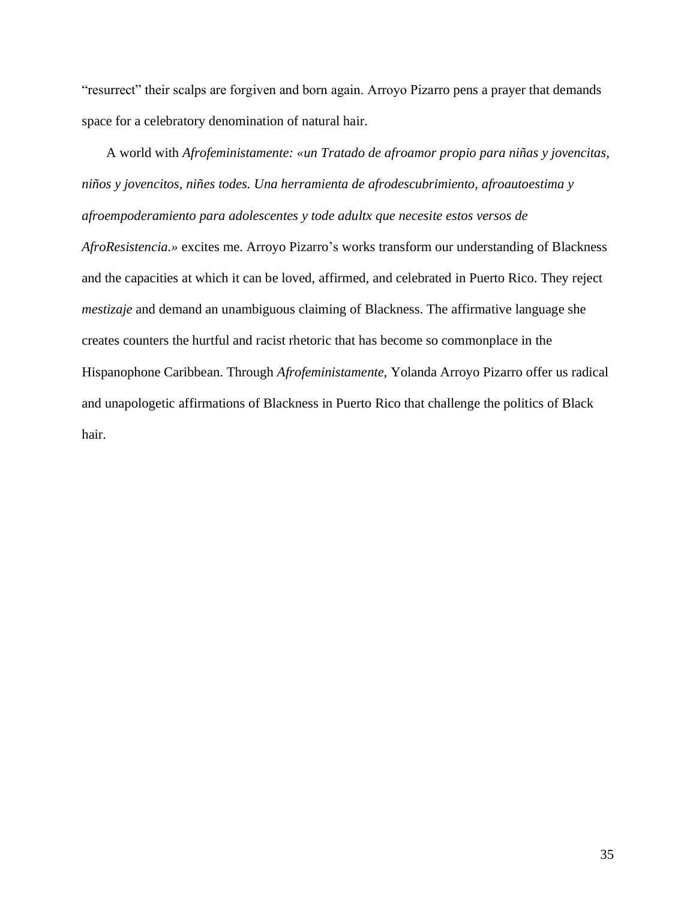"resurrect" their scalps are forgiven and born again. Arroyo Pizarro pens a prayer that demands space for a celebratory denomination of natural hair.

<span id="page-39-0"></span>A world with *Afrofeministamente: «un Tratado de afroamor propio para niñas y jovencitas, niños y jovencitos, niñes todes. Una herramienta de afrodescubrimiento, afroautoestima y afroempoderamiento para adolescentes y tode adultx que necesite estos versos de AfroResistencia.»* excites me. Arroyo Pizarro's works transform our understanding of Blackness and the capacities at which it can be loved, affirmed, and celebrated in Puerto Rico. They reject *mestizaje* and demand an unambiguous claiming of Blackness. The affirmative language she creates counters the hurtful and racist rhetoric that has become so commonplace in the Hispanophone Caribbean. Through *Afrofeministamente,* Yolanda Arroyo Pizarro offer us radical and unapologetic affirmations of Blackness in Puerto Rico that challenge the politics of Black hair.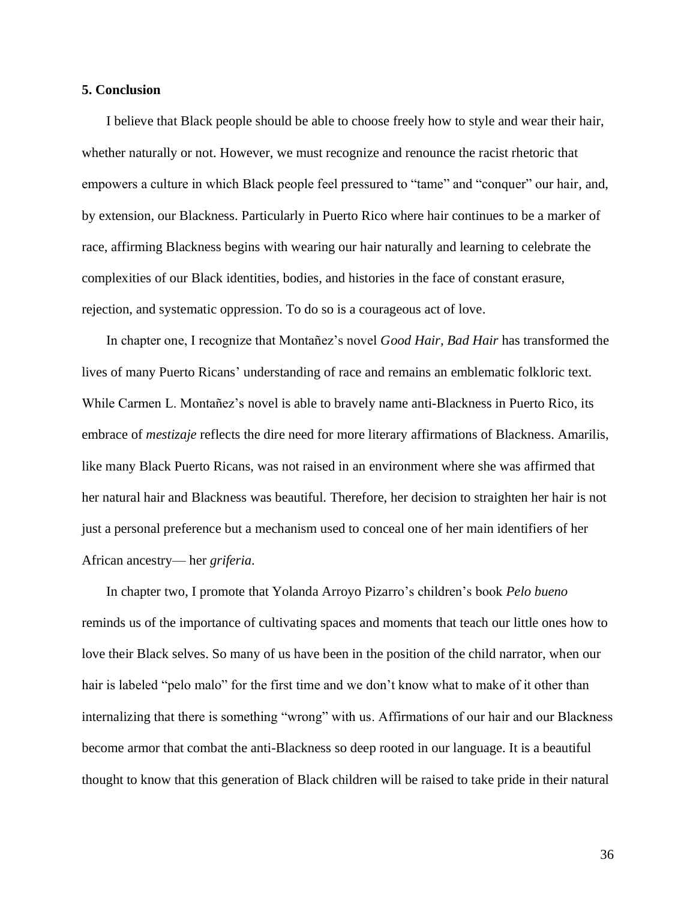### **5. Conclusion**

I believe that Black people should be able to choose freely how to style and wear their hair, whether naturally or not. However, we must recognize and renounce the racist rhetoric that empowers a culture in which Black people feel pressured to "tame" and "conquer" our hair, and, by extension, our Blackness. Particularly in Puerto Rico where hair continues to be a marker of race, affirming Blackness begins with wearing our hair naturally and learning to celebrate the complexities of our Black identities, bodies, and histories in the face of constant erasure, rejection, and systematic oppression. To do so is a courageous act of love.

In chapter one, I recognize that Montañez's novel *Good Hair, Bad Hair* has transformed the lives of many Puerto Ricans' understanding of race and remains an emblematic folkloric text. While Carmen L. Montañez's novel is able to bravely name anti-Blackness in Puerto Rico, its embrace of *mestizaje* reflects the dire need for more literary affirmations of Blackness. Amarilis, like many Black Puerto Ricans, was not raised in an environment where she was affirmed that her natural hair and Blackness was beautiful. Therefore, her decision to straighten her hair is not just a personal preference but a mechanism used to conceal one of her main identifiers of her African ancestry— her *griferia*.

In chapter two, I promote that Yolanda Arroyo Pizarro's children's book *Pelo bueno* reminds us of the importance of cultivating spaces and moments that teach our little ones how to love their Black selves. So many of us have been in the position of the child narrator, when our hair is labeled "pelo malo" for the first time and we don't know what to make of it other than internalizing that there is something "wrong" with us. Affirmations of our hair and our Blackness become armor that combat the anti-Blackness so deep rooted in our language. It is a beautiful thought to know that this generation of Black children will be raised to take pride in their natural

36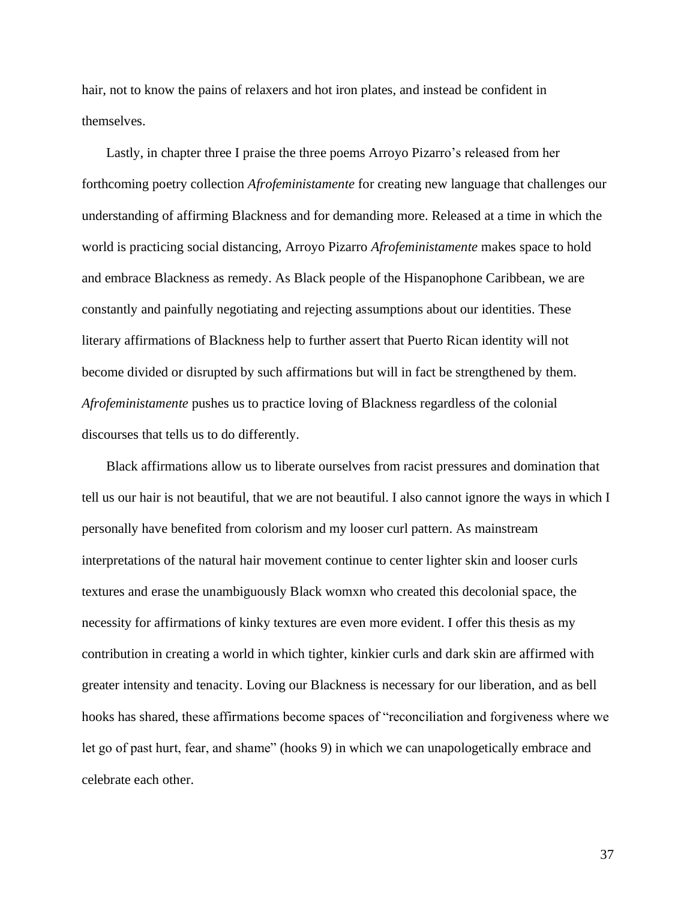hair, not to know the pains of relaxers and hot iron plates, and instead be confident in themselves.

Lastly, in chapter three I praise the three poems Arroyo Pizarro's released from her forthcoming poetry collection *Afrofeministamente* for creating new language that challenges our understanding of affirming Blackness and for demanding more. Released at a time in which the world is practicing social distancing, Arroyo Pizarro *Afrofeministamente* makes space to hold and embrace Blackness as remedy. As Black people of the Hispanophone Caribbean, we are constantly and painfully negotiating and rejecting assumptions about our identities. These literary affirmations of Blackness help to further assert that Puerto Rican identity will not become divided or disrupted by such affirmations but will in fact be strengthened by them. *Afrofeministamente* pushes us to practice loving of Blackness regardless of the colonial discourses that tells us to do differently.

Black affirmations allow us to liberate ourselves from racist pressures and domination that tell us our hair is not beautiful, that we are not beautiful. I also cannot ignore the ways in which I personally have benefited from colorism and my looser curl pattern. As mainstream interpretations of the natural hair movement continue to center lighter skin and looser curls textures and erase the unambiguously Black womxn who created this decolonial space, the necessity for affirmations of kinky textures are even more evident. I offer this thesis as my contribution in creating a world in which tighter, kinkier curls and dark skin are affirmed with greater intensity and tenacity. Loving our Blackness is necessary for our liberation, and as bell hooks has shared, these affirmations become spaces of "reconciliation and forgiveness where we let go of past hurt, fear, and shame" (hooks 9) in which we can unapologetically embrace and celebrate each other.

37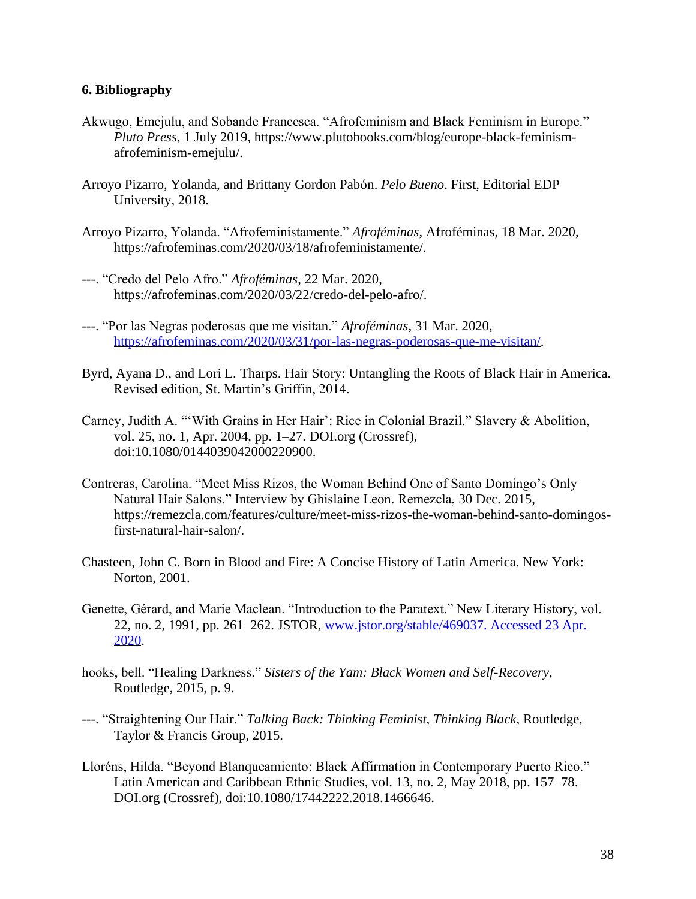# <span id="page-42-0"></span>**6. Bibliography**

- Akwugo, Emejulu, and Sobande Francesca. "Afrofeminism and Black Feminism in Europe." *Pluto Press*, 1 July 2019, https://www.plutobooks.com/blog/europe-black-feminismafrofeminism-emejulu/.
- Arroyo Pizarro, Yolanda, and Brittany Gordon Pabón. *Pelo Bueno*. First, Editorial EDP University, 2018.
- Arroyo Pizarro, Yolanda. "Afrofeministamente." *Afroféminas*, Afroféminas, 18 Mar. 2020, https://afrofeminas.com/2020/03/18/afrofeministamente/.
- ---. "Credo del Pelo Afro." *Afroféminas*, 22 Mar. 2020, https://afrofeminas.com/2020/03/22/credo-del-pelo-afro/.
- ---. "Por las Negras poderosas que me visitan." *Afroféminas*, 31 Mar. 2020, [https://afrofeminas.com/2020/03/31/por-las-negras-poderosas-que-me-visitan/.](https://afrofeminas.com/2020/03/31/por-las-negras-poderosas-que-me-visitan/)
- Byrd, Ayana D., and Lori L. Tharps. Hair Story: Untangling the Roots of Black Hair in America. Revised edition, St. Martin's Griffin, 2014.
- Carney, Judith A. "'With Grains in Her Hair': Rice in Colonial Brazil." Slavery & Abolition, vol. 25, no. 1, Apr. 2004, pp. 1–27. DOI.org (Crossref), doi:10.1080/0144039042000220900.
- Contreras, Carolina. "Meet Miss Rizos, the Woman Behind One of Santo Domingo's Only Natural Hair Salons." Interview by Ghislaine Leon. Remezcla, 30 Dec. 2015, https://remezcla.com/features/culture/meet-miss-rizos-the-woman-behind-santo-domingosfirst-natural-hair-salon/.
- Chasteen, John C. Born in Blood and Fire: A Concise History of Latin America. New York: Norton, 2001.
- Genette, Gérard, and Marie Maclean. "Introduction to the Paratext." New Literary History, vol. 22, no. 2, 1991, pp. 261–262. JSTOR, [www.jstor.org/stable/469037. Accessed 23 Apr.](http://www.jstor.org/stable/469037.%20Accessed%2023%20Apr.%202020)  [2020.](http://www.jstor.org/stable/469037.%20Accessed%2023%20Apr.%202020)
- hooks, bell. "Healing Darkness." *Sisters of the Yam: Black Women and Self-Recovery*, Routledge, 2015, p. 9.
- ---. "Straightening Our Hair." *Talking Back: Thinking Feminist, Thinking Black*, Routledge, Taylor & Francis Group, 2015.
- Lloréns, Hilda. "Beyond Blanqueamiento: Black Affirmation in Contemporary Puerto Rico." Latin American and Caribbean Ethnic Studies, vol. 13, no. 2, May 2018, pp. 157–78. DOI.org (Crossref), doi:10.1080/17442222.2018.1466646.